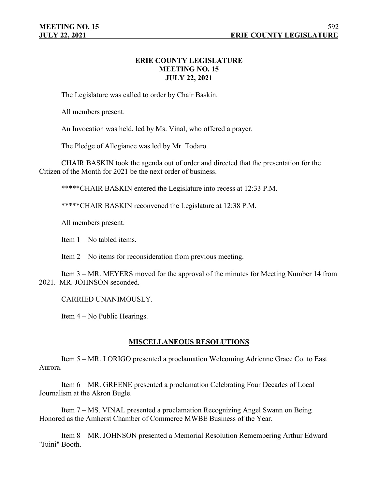# **ERIE COUNTY LEGISLATURE MEETING NO. 15 JULY 22, 2021**

The Legislature was called to order by Chair Baskin.

All members present.

An Invocation was held, led by Ms. Vinal, who offered a prayer.

The Pledge of Allegiance was led by Mr. Todaro.

CHAIR BASKIN took the agenda out of order and directed that the presentation for the Citizen of the Month for 2021 be the next order of business.

\*\*\*\*\*CHAIR BASKIN entered the Legislature into recess at 12:33 P.M.

\*\*\*\*\*CHAIR BASKIN reconvened the Legislature at 12:38 P.M.

All members present.

Item 1 – No tabled items.

Item 2 – No items for reconsideration from previous meeting.

Item 3 – MR. MEYERS moved for the approval of the minutes for Meeting Number 14 from 2021. MR. JOHNSON seconded.

CARRIED UNANIMOUSLY.

Item 4 – No Public Hearings.

## **MISCELLANEOUS RESOLUTIONS**

Item 5 – MR. LORIGO presented a proclamation Welcoming Adrienne Grace Co. to East Aurora.

Item 6 – MR. GREENE presented a proclamation Celebrating Four Decades of Local Journalism at the Akron Bugle.

Item 7 – MS. VINAL presented a proclamation Recognizing Angel Swann on Being Honored as the Amherst Chamber of Commerce MWBE Business of the Year.

Item 8 – MR. JOHNSON presented a Memorial Resolution Remembering Arthur Edward "Juini" Booth.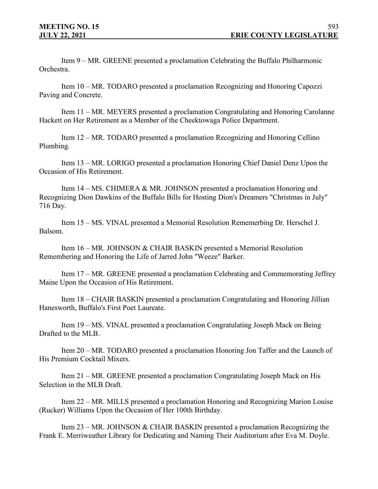Item 9 – MR. GREENE presented a proclamation Celebrating the Buffalo Philharmonic Orchestra.

Item 10 – MR. TODARO presented a proclamation Recognizing and Honoring Capozzi Paving and Concrete.

Item 11 – MR. MEYERS presented a proclamation Congratulating and Honoring Carolanne Hackett on Her Retirement as a Member of the Cheektowaga Police Department.

Item 12 – MR. TODARO presented a proclamation Recognizing and Honoring Cellino Plumbing.

Item 13 – MR. LORIGO presented a proclamation Honoring Chief Daniel Denz Upon the Occasion of His Retirement.

Item 14 – MS. CHIMERA & MR. JOHNSON presented a proclamation Honoring and Recognizing Dion Dawkins of the Buffalo Bills for Hosting Dion's Dreamers "Christmas in July" 716 Day.

Item 15 – MS. VINAL presented a Memorial Resolution Rememerbing Dr. Herschel J. Balsom.

Item 16 – MR. JOHNSON & CHAIR BASKIN presented a Memorial Resolution Remembering and Honoring the Life of Jarred John "Weeze" Barker.

Item 17 – MR. GREENE presented a proclamation Celebrating and Commemorating Jeffrey Maine Upon the Occasion of His Retirement.

Item 18 – CHAIR BASKIN presented a proclamation Congratulating and Honoring Jillian Hanesworth, Buffalo's First Poet Laureate.

Item 19 – MS. VINAL presented a proclamation Congratulating Joseph Mack on Being Drafted to the MLB.

Item 20 – MR. TODARO presented a proclamation Honoring Jon Taffer and the Launch of His Premium Cocktail Mixers.

Item 21 – MR. GREENE presented a proclamation Congratulating Joseph Mack on His Selection in the MLB Draft.

Item 22 – MR. MILLS presented a proclamation Honoring and Recognizing Marion Louise (Rucker) Williams Upon the Occasion of Her 100th Birthday.

Item 23 – MR. JOHNSON & CHAIR BASKIN presented a proclamation Recognizing the Frank E. Merriweather Library for Dedicating and Naming Their Auditorium after Eva M. Doyle.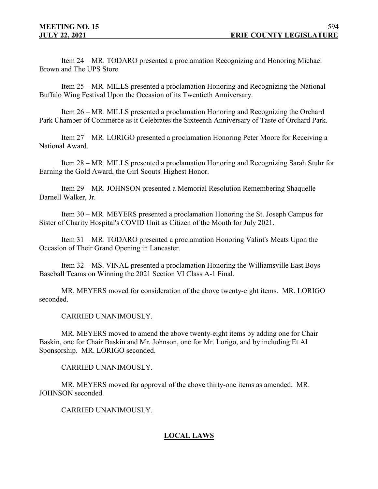Item 24 – MR. TODARO presented a proclamation Recognizing and Honoring Michael Brown and The UPS Store.

Item 25 – MR. MILLS presented a proclamation Honoring and Recognizing the National Buffalo Wing Festival Upon the Occasion of its Twentieth Anniversary.

Item 26 – MR. MILLS presented a proclamation Honoring and Recognizing the Orchard Park Chamber of Commerce as it Celebrates the Sixteenth Anniversary of Taste of Orchard Park.

Item 27 – MR. LORIGO presented a proclamation Honoring Peter Moore for Receiving a National Award.

Item 28 – MR. MILLS presented a proclamation Honoring and Recognizing Sarah Stuhr for Earning the Gold Award, the Girl Scouts' Highest Honor.

Item 29 – MR. JOHNSON presented a Memorial Resolution Remembering Shaquelle Darnell Walker, Jr.

Item 30 – MR. MEYERS presented a proclamation Honoring the St. Joseph Campus for Sister of Charity Hospital's COVID Unit as Citizen of the Month for July 2021.

Item 31 – MR. TODARO presented a proclamation Honoring Valint's Meats Upon the Occasion of Their Grand Opening in Lancaster.

Item 32 – MS. VINAL presented a proclamation Honoring the Williamsville East Boys Baseball Teams on Winning the 2021 Section VI Class A-1 Final.

MR. MEYERS moved for consideration of the above twenty-eight items. MR. LORIGO seconded.

CARRIED UNANIMOUSLY.

MR. MEYERS moved to amend the above twenty-eight items by adding one for Chair Baskin, one for Chair Baskin and Mr. Johnson, one for Mr. Lorigo, and by including Et Al Sponsorship. MR. LORIGO seconded.

CARRIED UNANIMOUSLY.

MR. MEYERS moved for approval of the above thirty-one items as amended. MR. JOHNSON seconded.

CARRIED UNANIMOUSLY.

# **LOCAL LAWS**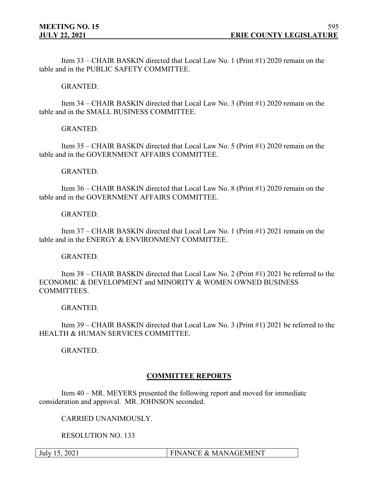Item 33 – CHAIR BASKIN directed that Local Law No. 1 (Print #1) 2020 remain on the table and in the PUBLIC SAFETY COMMITTEE.

### GRANTED.

Item 34 – CHAIR BASKIN directed that Local Law No. 3 (Print #1) 2020 remain on the table and in the SMALL BUSINESS COMMITTEE.

### GRANTED.

Item 35 – CHAIR BASKIN directed that Local Law No. 5 (Print #1) 2020 remain on the table and in the GOVERNMENT AFFAIRS COMMITTEE.

#### GRANTED.

Item 36 – CHAIR BASKIN directed that Local Law No. 8 (Print #1) 2020 remain on the table and in the GOVERNMENT AFFAIRS COMMITTEE.

### GRANTED.

Item 37 – CHAIR BASKIN directed that Local Law No. 1 (Print #1) 2021 remain on the table and in the ENERGY & ENVIRONMENT COMMITTEE.

#### GRANTED.

Item 38 – CHAIR BASKIN directed that Local Law No. 2 (Print #1) 2021 be referred to the ECONOMIC & DEVELOPMENT and MINORITY & WOMEN OWNED BUSINESS COMMITTEES.

#### GRANTED.

Item 39 – CHAIR BASKIN directed that Local Law No. 3 (Print #1) 2021 be referred to the HEALTH & HUMAN SERVICES COMMITTEE.

GRANTED.

## **COMMITTEE REPORTS**

Item 40 – MR. MEYERS presented the following report and moved for immediate consideration and approval. MR. JOHNSON seconded.

CARRIED UNANIMOUSLY.

RESOLUTION NO. 133

July 15, 2021 **FINANCE & MANAGEMENT**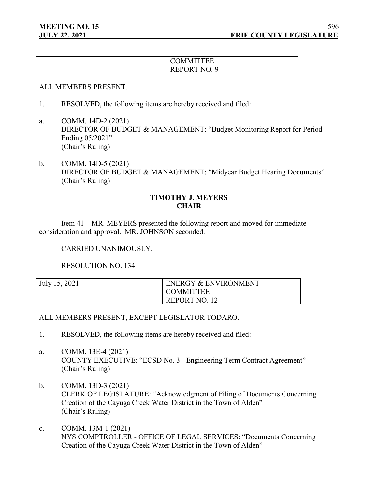| <b>COMMITTEE</b> |
|------------------|
| REPORT NO. 9     |

#### ALL MEMBERS PRESENT.

- 1. RESOLVED, the following items are hereby received and filed:
- a. COMM. 14D-2 (2021) DIRECTOR OF BUDGET & MANAGEMENT: "Budget Monitoring Report for Period Ending 05/2021" (Chair's Ruling)
- b. COMM. 14D-5 (2021) DIRECTOR OF BUDGET & MANAGEMENT: "Midyear Budget Hearing Documents" (Chair's Ruling)

## **TIMOTHY J. MEYERS CHAIR**

Item 41 – MR. MEYERS presented the following report and moved for immediate consideration and approval. MR. JOHNSON seconded.

#### CARRIED UNANIMOUSLY.

RESOLUTION NO. 134

| July 15, 2021 | <b>ENERGY &amp; ENVIRONMENT</b> |
|---------------|---------------------------------|
|               | <b>COMMITTEE</b>                |
|               | REPORT NO. 12                   |

## ALL MEMBERS PRESENT, EXCEPT LEGISLATOR TODARO.

- 1. RESOLVED, the following items are hereby received and filed:
- a. COMM. 13E-4 (2021) COUNTY EXECUTIVE: "ECSD No. 3 - Engineering Term Contract Agreement" (Chair's Ruling)
- b. COMM. 13D-3 (2021) CLERK OF LEGISLATURE: "Acknowledgment of Filing of Documents Concerning Creation of the Cayuga Creek Water District in the Town of Alden" (Chair's Ruling)
- c. COMM. 13M-1 (2021) NYS COMPTROLLER - OFFICE OF LEGAL SERVICES: "Documents Concerning Creation of the Cayuga Creek Water District in the Town of Alden"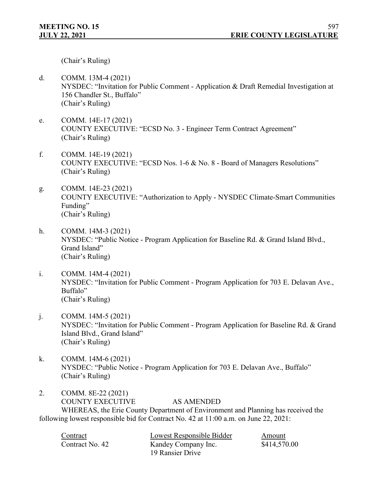(Chair's Ruling)

- d. COMM. 13M-4 (2021) NYSDEC: "Invitation for Public Comment - Application & Draft Remedial Investigation at 156 Chandler St., Buffalo" (Chair's Ruling)
- e. COMM. 14E-17 (2021) COUNTY EXECUTIVE: "ECSD No. 3 - Engineer Term Contract Agreement" (Chair's Ruling)
- f. COMM. 14E-19 (2021) COUNTY EXECUTIVE: "ECSD Nos. 1-6 & No. 8 - Board of Managers Resolutions" (Chair's Ruling)
- g. COMM. 14E-23 (2021) COUNTY EXECUTIVE: "Authorization to Apply - NYSDEC Climate-Smart Communities Funding" (Chair's Ruling)
- h. COMM. 14M-3 (2021) NYSDEC: "Public Notice - Program Application for Baseline Rd. & Grand Island Blvd., Grand Island" (Chair's Ruling)
- i. COMM. 14M-4 (2021) NYSDEC: "Invitation for Public Comment - Program Application for 703 E. Delavan Ave., Buffalo" (Chair's Ruling)
- j. COMM. 14M-5 (2021) NYSDEC: "Invitation for Public Comment - Program Application for Baseline Rd. & Grand Island Blvd., Grand Island" (Chair's Ruling)
- k. COMM. 14M-6 (2021) NYSDEC: "Public Notice - Program Application for 703 E. Delavan Ave., Buffalo" (Chair's Ruling)
- 2. COMM. 8E-22 (2021) COUNTY EXECUTIVE AS AMENDED WHEREAS, the Erie County Department of Environment and Planning has received the following lowest responsible bid for Contract No. 42 at 11:00 a.m. on June 22, 2021:

Contract Lowest Responsible Bidder Amount Contract No. 42 Kandey Company Inc. \$414,570.00 19 Ransier Drive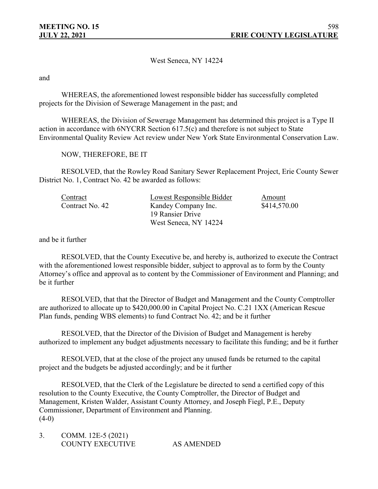West Seneca, NY 14224

and

WHEREAS, the aforementioned lowest responsible bidder has successfully completed projects for the Division of Sewerage Management in the past; and

WHEREAS, the Division of Sewerage Management has determined this project is a Type II action in accordance with 6NYCRR Section 617.5(c) and therefore is not subject to State Environmental Quality Review Act review under New York State Environmental Conservation Law.

NOW, THEREFORE, BE IT

RESOLVED, that the Rowley Road Sanitary Sewer Replacement Project, Erie County Sewer District No. 1, Contract No. 42 be awarded as follows:

| Contract        | Lowest Responsible Bidder | Amount       |
|-----------------|---------------------------|--------------|
| Contract No. 42 | Kandey Company Inc.       | \$414,570.00 |
|                 | 19 Ransier Drive          |              |
|                 | West Seneca, NY 14224     |              |

and be it further

RESOLVED, that the County Executive be, and hereby is, authorized to execute the Contract with the aforementioned lowest responsible bidder, subject to approval as to form by the County Attorney's office and approval as to content by the Commissioner of Environment and Planning; and be it further

RESOLVED, that that the Director of Budget and Management and the County Comptroller are authorized to allocate up to \$420,000.00 in Capital Project No. C.21 1XX (American Rescue Plan funds, pending WBS elements) to fund Contract No. 42; and be it further

RESOLVED, that the Director of the Division of Budget and Management is hereby authorized to implement any budget adjustments necessary to facilitate this funding; and be it further

RESOLVED, that at the close of the project any unused funds be returned to the capital project and the budgets be adjusted accordingly; and be it further

RESOLVED, that the Clerk of the Legislature be directed to send a certified copy of this resolution to the County Executive, the County Comptroller, the Director of Budget and Management, Kristen Walder, Assistant County Attorney, and Joseph Fiegl, P.E., Deputy Commissioner, Department of Environment and Planning.  $(4-0)$ 

| COMM. 12E-5 (2021) |            |
|--------------------|------------|
| COUNTY EXECUTIVE   | AS AMENDED |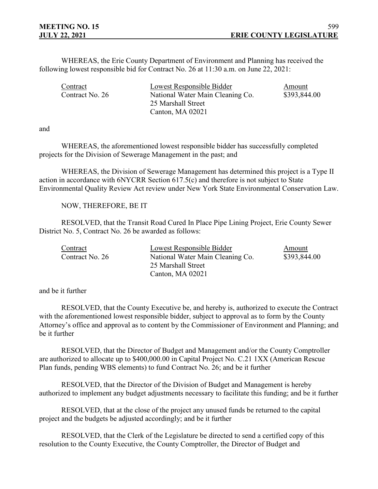WHEREAS, the Erie County Department of Environment and Planning has received the following lowest responsible bid for Contract No. 26 at 11:30 a.m. on June 22, 2021:

| Contract        | Lowest Responsible Bidder                        | Amount |
|-----------------|--------------------------------------------------|--------|
| Contract No. 26 | \$393,844.00<br>National Water Main Cleaning Co. |        |
|                 | 25 Marshall Street                               |        |
|                 | Canton, MA 02021                                 |        |

and

WHEREAS, the aforementioned lowest responsible bidder has successfully completed projects for the Division of Sewerage Management in the past; and

WHEREAS, the Division of Sewerage Management has determined this project is a Type II action in accordance with 6NYCRR Section 617.5(c) and therefore is not subject to State Environmental Quality Review Act review under New York State Environmental Conservation Law.

#### NOW, THEREFORE, BE IT

RESOLVED, that the Transit Road Cured In Place Pipe Lining Project, Erie County Sewer District No. 5, Contract No. 26 be awarded as follows:

| Contract<br>Contract No. 26 | Lowest Responsible Bidder<br>National Water Main Cleaning Co. | Amount<br>\$393,844.00 |
|-----------------------------|---------------------------------------------------------------|------------------------|
|                             | 25 Marshall Street                                            |                        |
|                             | Canton, MA 02021                                              |                        |

and be it further

RESOLVED, that the County Executive be, and hereby is, authorized to execute the Contract with the aforementioned lowest responsible bidder, subject to approval as to form by the County Attorney's office and approval as to content by the Commissioner of Environment and Planning; and be it further

RESOLVED, that the Director of Budget and Management and/or the County Comptroller are authorized to allocate up to \$400,000.00 in Capital Project No. C.21 1XX (American Rescue Plan funds, pending WBS elements) to fund Contract No. 26; and be it further

RESOLVED, that the Director of the Division of Budget and Management is hereby authorized to implement any budget adjustments necessary to facilitate this funding; and be it further

RESOLVED, that at the close of the project any unused funds be returned to the capital project and the budgets be adjusted accordingly; and be it further

RESOLVED, that the Clerk of the Legislature be directed to send a certified copy of this resolution to the County Executive, the County Comptroller, the Director of Budget and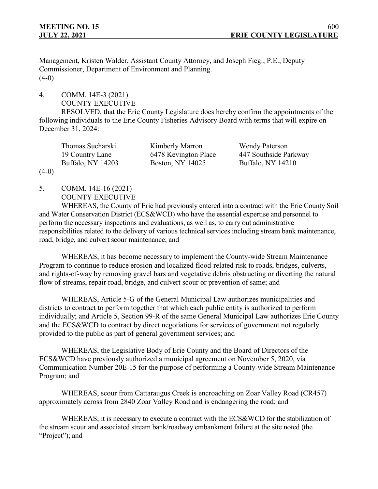Management, Kristen Walder, Assistant County Attorney, and Joseph Fiegl, P.E., Deputy Commissioner, Department of Environment and Planning.  $(4-0)$ 

4. COMM. 14E-3 (2021) COUNTY EXECUTIVE

RESOLVED, that the Erie County Legislature does hereby confirm the appointments of the following individuals to the Erie County Fisheries Advisory Board with terms that will expire on December 31, 2024:

| Kimberly Marron      | <b>Wendy Paterson</b> |
|----------------------|-----------------------|
| 6478 Kevington Place | 447 Southside Parkway |
| Boston, NY 14025     | Buffalo, NY 14210     |
|                      |                       |

 $(4-0)$ 

5. COMM. 14E-16 (2021) COUNTY EXECUTIVE

WHEREAS, the County of Erie had previously entered into a contract with the Erie County Soil and Water Conservation District (ECS&WCD) who have the essential expertise and personnel to perform the necessary inspections and evaluations, as well as, to carry out administrative responsibilities related to the delivery of various technical services including stream bank maintenance, road, bridge, and culvert scour maintenance; and

WHEREAS, it has become necessary to implement the County-wide Stream Maintenance Program to continue to reduce erosion and localized flood-related risk to roads, bridges, culverts, and rights-of-way by removing gravel bars and vegetative debris obstructing or diverting the natural flow of streams, repair road, bridge, and culvert scour or prevention of same; and

WHEREAS, Article 5-G of the General Municipal Law authorizes municipalities and districts to contract to perform together that which each public entity is authorized to perform individually; and Article 5, Section 99-R of the same General Municipal Law authorizes Erie County and the ECS&WCD to contract by direct negotiations for services of government not regularly provided to the public as part of general government services; and

WHEREAS, the Legislative Body of Erie County and the Board of Directors of the ECS&WCD have previously authorized a municipal agreement on November 5, 2020, via Communication Number 20E-15 for the purpose of performing a County-wide Stream Maintenance Program; and

WHEREAS, scour from Cattaraugus Creek is encroaching on Zoar Valley Road (CR457) approximately across from 2840 Zoar Valley Road and is endangering the road; and

WHEREAS, it is necessary to execute a contract with the ECS&WCD for the stabilization of the stream scour and associated stream bank/roadway embankment failure at the site noted (the "Project"); and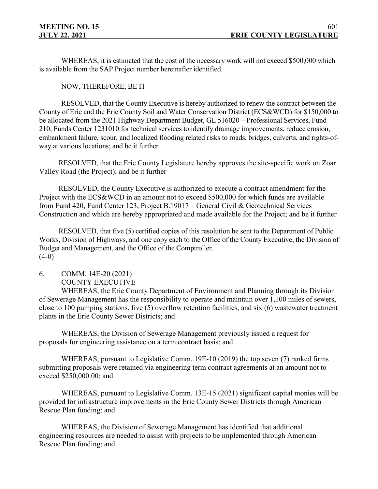WHEREAS, it is estimated that the cost of the necessary work will not exceed \$500,000 which is available from the SAP Project number hereinafter identified.

NOW, THEREFORE, BE IT

RESOLVED, that the County Executive is hereby authorized to renew the contract between the County of Erie and the Erie County Soil and Water Conservation District (ECS&WCD) for \$150,000 to be allocated from the 2021 Highway Department Budget, GL 516020 – Professional Services, Fund 210, Funds Center 1231010 for technical services to identify drainage improvements, reduce erosion, embankment failure, scour, and localized flooding related risks to roads, bridges, culverts, and rights-ofway at various locations; and be it further

RESOLVED, that the Erie County Legislature hereby approves the site-specific work on Zoar Valley Road (the Project); and be it further

RESOLVED, the County Executive is authorized to execute a contract amendment for the Project with the ECS&WCD in an amount not to exceed \$500,000 for which funds are available from Fund 420, Fund Center 123, Project B.19017 – General Civil & Geotechnical Services Construction and which are hereby appropriated and made available for the Project; and be it further

RESOLVED, that five (5) certified copies of this resolution be sent to the Department of Public Works, Division of Highways, and one copy each to the Office of the County Executive, the Division of Budget and Management, and the Office of the Comptroller.  $(4-0)$ 

6. COMM. 14E-20 (2021) COUNTY EXECUTIVE

WHEREAS, the Erie County Department of Environment and Planning through its Division of Sewerage Management has the responsibility to operate and maintain over 1,100 miles of sewers, close to 100 pumping stations, five (5) overflow retention facilities, and six (6) wastewater treatment plants in the Erie County Sewer Districts; and

WHEREAS, the Division of Sewerage Management previously issued a request for proposals for engineering assistance on a term contract basis; and

WHEREAS, pursuant to Legislative Comm. 19E-10 (2019) the top seven (7) ranked firms submitting proposals were retained via engineering term contract agreements at an amount not to exceed \$250,000.00; and

WHEREAS, pursuant to Legislative Comm. 13E-15 (2021) significant capital monies will be provided for infrastructure improvements in the Erie County Sewer Districts through American Rescue Plan funding; and

WHEREAS, the Division of Sewerage Management has identified that additional engineering resources are needed to assist with projects to be implemented through American Rescue Plan funding; and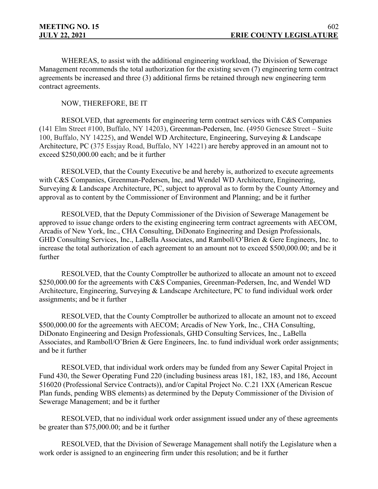WHEREAS, to assist with the additional engineering workload, the Division of Sewerage Management recommends the total authorization for the existing seven (7) engineering term contract agreements be increased and three (3) additional firms be retained through new engineering term contract agreements.

### NOW, THEREFORE, BE IT

RESOLVED, that agreements for engineering term contract services with C&S Companies (141 Elm Street #100, Buffalo, NY 14203), Greenman-Pedersen, Inc. (4950 Genesee Street – Suite 100, Buffalo, NY 14225), and Wendel WD Architecture, Engineering, Surveying & Landscape Architecture, PC (375 Essjay Road, Buffalo, NY 14221) are hereby approved in an amount not to exceed \$250,000.00 each; and be it further

RESOLVED, that the County Executive be and hereby is, authorized to execute agreements with C&S Companies, Greenman-Pedersen, Inc, and Wendel WD Architecture, Engineering, Surveying & Landscape Architecture, PC, subject to approval as to form by the County Attorney and approval as to content by the Commissioner of Environment and Planning; and be it further

RESOLVED, that the Deputy Commissioner of the Division of Sewerage Management be approved to issue change orders to the existing engineering term contract agreements with AECOM, Arcadis of New York, Inc., CHA Consulting, DiDonato Engineering and Design Professionals, GHD Consulting Services, Inc., LaBella Associates, and Ramboll/O'Brien & Gere Engineers, Inc. to increase the total authorization of each agreement to an amount not to exceed \$500,000.00; and be it further

RESOLVED, that the County Comptroller be authorized to allocate an amount not to exceed \$250,000.00 for the agreements with C&S Companies, Greenman-Pedersen, Inc, and Wendel WD Architecture, Engineering, Surveying & Landscape Architecture, PC to fund individual work order assignments; and be it further

RESOLVED, that the County Comptroller be authorized to allocate an amount not to exceed \$500,000.00 for the agreements with AECOM; Arcadis of New York, Inc., CHA Consulting, DiDonato Engineering and Design Professionals, GHD Consulting Services, Inc., LaBella Associates, and Ramboll/O'Brien & Gere Engineers, Inc. to fund individual work order assignments; and be it further

RESOLVED, that individual work orders may be funded from any Sewer Capital Project in Fund 430, the Sewer Operating Fund 220 (including business areas 181, 182, 183, and 186, Account 516020 (Professional Service Contracts)), and/or Capital Project No. C.21 1XX (American Rescue Plan funds, pending WBS elements) as determined by the Deputy Commissioner of the Division of Sewerage Management; and be it further

RESOLVED, that no individual work order assignment issued under any of these agreements be greater than \$75,000.00; and be it further

RESOLVED, that the Division of Sewerage Management shall notify the Legislature when a work order is assigned to an engineering firm under this resolution; and be it further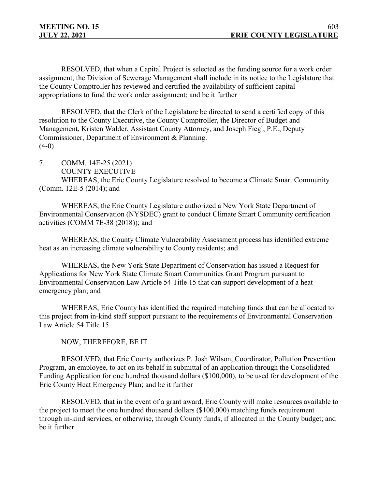RESOLVED, that when a Capital Project is selected as the funding source for a work order assignment, the Division of Sewerage Management shall include in its notice to the Legislature that the County Comptroller has reviewed and certified the availability of sufficient capital appropriations to fund the work order assignment; and be it further

RESOLVED, that the Clerk of the Legislature be directed to send a certified copy of this resolution to the County Executive, the County Comptroller, the Director of Budget and Management, Kristen Walder, Assistant County Attorney, and Joseph Fiegl, P.E., Deputy Commissioner, Department of Environment & Planning.  $(4-0)$ 

7. COMM. 14E-25 (2021)

COUNTY EXECUTIVE

WHEREAS, the Erie County Legislature resolved to become a Climate Smart Community (Comm. 12E-5 (2014); and

WHEREAS, the Erie County Legislature authorized a New York State Department of Environmental Conservation (NYSDEC) grant to conduct Climate Smart Community certification activities (COMM 7E-38 (2018)); and

WHEREAS, the County Climate Vulnerability Assessment process has identified extreme heat as an increasing climate vulnerability to County residents; and

WHEREAS, the New York State Department of Conservation has issued a Request for Applications for New York State Climate Smart Communities Grant Program pursuant to Environmental Conservation Law Article 54 Title 15 that can support development of a heat emergency plan; and

WHEREAS, Erie County has identified the required matching funds that can be allocated to this project from in-kind staff support pursuant to the requirements of Environmental Conservation Law Article 54 Title 15.

NOW, THEREFORE, BE IT

RESOLVED, that Erie County authorizes P. Josh Wilson, Coordinator, Pollution Prevention Program, an employee, to act on its behalf in submittal of an application through the Consolidated Funding Application for one hundred thousand dollars (\$100,000), to be used for development of the Erie County Heat Emergency Plan; and be it further

RESOLVED, that in the event of a grant award, Erie County will make resources available to the project to meet the one hundred thousand dollars (\$100,000) matching funds requirement through in-kind services, or otherwise, through County funds, if allocated in the County budget; and be it further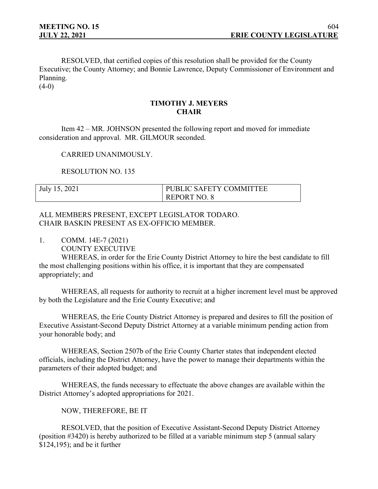RESOLVED, that certified copies of this resolution shall be provided for the County Executive; the County Attorney; and Bonnie Lawrence, Deputy Commissioner of Environment and Planning.

 $(4-0)$ 

# **TIMOTHY J. MEYERS CHAIR**

Item 42 – MR. JOHNSON presented the following report and moved for immediate consideration and approval. MR. GILMOUR seconded.

CARRIED UNANIMOUSLY.

RESOLUTION NO. 135

| July 15, 2021 | PUBLIC SAFETY COMMITTEE |
|---------------|-------------------------|
|               | <b>REPORT NO. 8</b>     |

### ALL MEMBERS PRESENT, EXCEPT LEGISLATOR TODARO. CHAIR BASKIN PRESENT AS EX-OFFICIO MEMBER.

1. COMM. 14E-7 (2021)

COUNTY EXECUTIVE

WHEREAS, in order for the Erie County District Attorney to hire the best candidate to fill the most challenging positions within his office, it is important that they are compensated appropriately; and

WHEREAS, all requests for authority to recruit at a higher increment level must be approved by both the Legislature and the Erie County Executive; and

WHEREAS, the Erie County District Attorney is prepared and desires to fill the position of Executive Assistant-Second Deputy District Attorney at a variable minimum pending action from your honorable body; and

WHEREAS, Section 2507b of the Erie County Charter states that independent elected officials, including the District Attorney, have the power to manage their departments within the parameters of their adopted budget; and

WHEREAS, the funds necessary to effectuate the above changes are available within the District Attorney's adopted appropriations for 2021.

NOW, THEREFORE, BE IT

RESOLVED, that the position of Executive Assistant-Second Deputy District Attorney (position #3420) is hereby authorized to be filled at a variable minimum step 5 (annual salary \$124,195); and be it further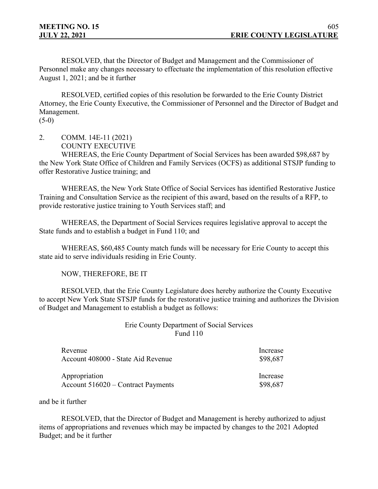RESOLVED, that the Director of Budget and Management and the Commissioner of Personnel make any changes necessary to effectuate the implementation of this resolution effective August 1, 2021; and be it further

RESOLVED, certified copies of this resolution be forwarded to the Erie County District Attorney, the Erie County Executive, the Commissioner of Personnel and the Director of Budget and Management.

 $(5-0)$ 

2. COMM. 14E-11 (2021) COUNTY EXECUTIVE

WHEREAS, the Erie County Department of Social Services has been awarded \$98,687 by the New York State Office of Children and Family Services (OCFS) as additional STSJP funding to offer Restorative Justice training; and

WHEREAS, the New York State Office of Social Services has identified Restorative Justice Training and Consultation Service as the recipient of this award, based on the results of a RFP, to provide restorative justice training to Youth Services staff; and

WHEREAS, the Department of Social Services requires legislative approval to accept the State funds and to establish a budget in Fund 110; and

WHEREAS, \$60,485 County match funds will be necessary for Erie County to accept this state aid to serve individuals residing in Erie County.

NOW, THEREFORE, BE IT

RESOLVED, that the Erie County Legislature does hereby authorize the County Executive to accept New York State STSJP funds for the restorative justice training and authorizes the Division of Budget and Management to establish a budget as follows:

## Erie County Department of Social Services Fund 110

| Revenue                              | Increase |
|--------------------------------------|----------|
| Account 408000 - State Aid Revenue   | \$98,687 |
| Appropriation                        | Increase |
| Account $516020$ – Contract Payments | \$98,687 |

and be it further

RESOLVED, that the Director of Budget and Management is hereby authorized to adjust items of appropriations and revenues which may be impacted by changes to the 2021 Adopted Budget; and be it further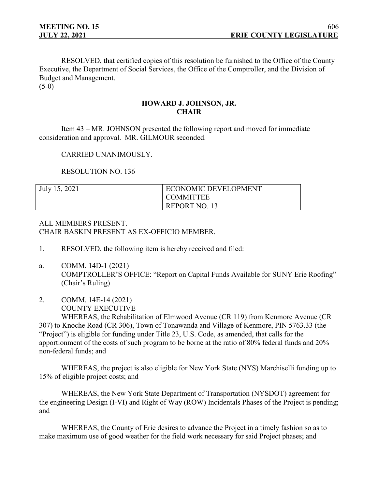RESOLVED, that certified copies of this resolution be furnished to the Office of the County Executive, the Department of Social Services, the Office of the Comptroller, and the Division of Budget and Management.  $(5-0)$ 

# **HOWARD J. JOHNSON, JR. CHAIR**

Item 43 – MR. JOHNSON presented the following report and moved for immediate consideration and approval. MR. GILMOUR seconded.

CARRIED UNANIMOUSLY.

RESOLUTION NO. 136

| July 15, 2021 | <b>ECONOMIC DEVELOPMENT</b> |
|---------------|-----------------------------|
|               | I COMMITTEE                 |
|               | REPORT NO. 13               |

# ALL MEMBERS PRESENT. CHAIR BASKIN PRESENT AS EX-OFFICIO MEMBER.

- 1. RESOLVED, the following item is hereby received and filed:
- a. COMM. 14D-1 (2021) COMPTROLLER'S OFFICE: "Report on Capital Funds Available for SUNY Erie Roofing" (Chair's Ruling)
- 2. COMM. 14E-14 (2021) COUNTY EXECUTIVE

WHEREAS, the Rehabilitation of Elmwood Avenue (CR 119) from Kenmore Avenue (CR 307) to Knoche Road (CR 306), Town of Tonawanda and Village of Kenmore, PIN 5763.33 (the "Project") is eligible for funding under Title 23, U.S. Code, as amended, that calls for the apportionment of the costs of such program to be borne at the ratio of 80% federal funds and 20% non-federal funds; and

WHEREAS, the project is also eligible for New York State (NYS) Marchiselli funding up to 15% of eligible project costs; and

WHEREAS, the New York State Department of Transportation (NYSDOT) agreement for the engineering Design (I-VI) and Right of Way (ROW) Incidentals Phases of the Project is pending; and

WHEREAS, the County of Erie desires to advance the Project in a timely fashion so as to make maximum use of good weather for the field work necessary for said Project phases; and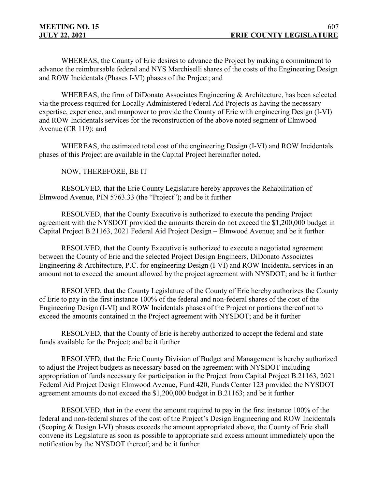WHEREAS, the County of Erie desires to advance the Project by making a commitment to advance the reimbursable federal and NYS Marchiselli shares of the costs of the Engineering Design and ROW Incidentals (Phases I-VI) phases of the Project; and

WHEREAS, the firm of DiDonato Associates Engineering & Architecture, has been selected via the process required for Locally Administered Federal Aid Projects as having the necessary expertise, experience, and manpower to provide the County of Erie with engineering Design (I-VI) and ROW Incidentals services for the reconstruction of the above noted segment of Elmwood Avenue (CR 119); and

WHEREAS, the estimated total cost of the engineering Design (I-VI) and ROW Incidentals phases of this Project are available in the Capital Project hereinafter noted.

NOW, THEREFORE, BE IT

RESOLVED, that the Erie County Legislature hereby approves the Rehabilitation of Elmwood Avenue, PIN 5763.33 (the "Project"); and be it further

RESOLVED, that the County Executive is authorized to execute the pending Project agreement with the NYSDOT provided the amounts therein do not exceed the \$1,200,000 budget in Capital Project B.21163, 2021 Federal Aid Project Design – Elmwood Avenue; and be it further

RESOLVED, that the County Executive is authorized to execute a negotiated agreement between the County of Erie and the selected Project Design Engineers, DiDonato Associates Engineering & Architecture, P.C. for engineering Design (I-VI) and ROW Incidental services in an amount not to exceed the amount allowed by the project agreement with NYSDOT; and be it further

RESOLVED, that the County Legislature of the County of Erie hereby authorizes the County of Erie to pay in the first instance 100% of the federal and non-federal shares of the cost of the Engineering Design (I-VI) and ROW Incidentals phases of the Project or portions thereof not to exceed the amounts contained in the Project agreement with NYSDOT; and be it further

RESOLVED, that the County of Erie is hereby authorized to accept the federal and state funds available for the Project; and be it further

RESOLVED, that the Erie County Division of Budget and Management is hereby authorized to adjust the Project budgets as necessary based on the agreement with NYSDOT including appropriation of funds necessary for participation in the Project from Capital Project B.21163, 2021 Federal Aid Project Design Elmwood Avenue, Fund 420, Funds Center 123 provided the NYSDOT agreement amounts do not exceed the \$1,200,000 budget in B.21163; and be it further

RESOLVED, that in the event the amount required to pay in the first instance 100% of the federal and non-federal shares of the cost of the Project's Design Engineering and ROW Incidentals (Scoping & Design I-VI) phases exceeds the amount appropriated above, the County of Erie shall convene its Legislature as soon as possible to appropriate said excess amount immediately upon the notification by the NYSDOT thereof; and be it further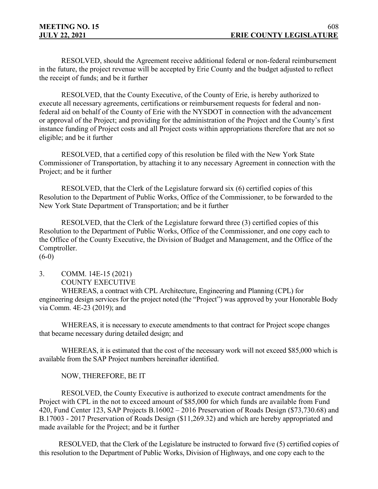RESOLVED, should the Agreement receive additional federal or non-federal reimbursement in the future, the project revenue will be accepted by Erie County and the budget adjusted to reflect the receipt of funds; and be it further

RESOLVED, that the County Executive, of the County of Erie, is hereby authorized to execute all necessary agreements, certifications or reimbursement requests for federal and nonfederal aid on behalf of the County of Erie with the NYSDOT in connection with the advancement or approval of the Project; and providing for the administration of the Project and the County's first instance funding of Project costs and all Project costs within appropriations therefore that are not so eligible; and be it further

RESOLVED, that a certified copy of this resolution be filed with the New York State Commissioner of Transportation, by attaching it to any necessary Agreement in connection with the Project; and be it further

RESOLVED, that the Clerk of the Legislature forward six (6) certified copies of this Resolution to the Department of Public Works, Office of the Commissioner, to be forwarded to the New York State Department of Transportation; and be it further

RESOLVED, that the Clerk of the Legislature forward three (3) certified copies of this Resolution to the Department of Public Works, Office of the Commissioner, and one copy each to the Office of the County Executive, the Division of Budget and Management, and the Office of the Comptroller.

(6-0)

#### 3. COMM. 14E-15 (2021) COUNTY EXECUTIVE

WHEREAS, a contract with CPL Architecture, Engineering and Planning (CPL) for engineering design services for the project noted (the "Project") was approved by your Honorable Body via Comm. 4E-23 (2019); and

WHEREAS, it is necessary to execute amendments to that contract for Project scope changes that became necessary during detailed design; and

WHEREAS, it is estimated that the cost of the necessary work will not exceed \$85,000 which is available from the SAP Project numbers hereinafter identified.

## NOW, THEREFORE, BE IT

RESOLVED, the County Executive is authorized to execute contract amendments for the Project with CPL in the not to exceed amount of \$85,000 for which funds are available from Fund 420, Fund Center 123, SAP Projects B.16002 – 2016 Preservation of Roads Design (\$73,730.68) and B.17003 - 2017 Preservation of Roads Design (\$11,269.32) and which are hereby appropriated and made available for the Project; and be it further

RESOLVED, that the Clerk of the Legislature be instructed to forward five (5) certified copies of this resolution to the Department of Public Works, Division of Highways, and one copy each to the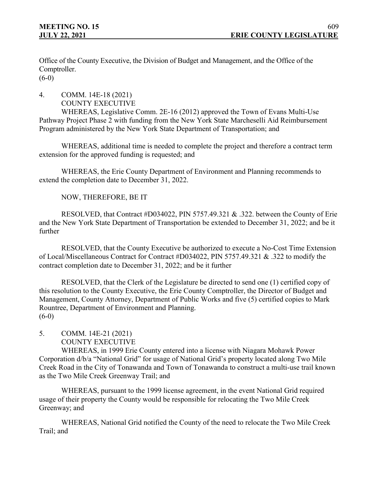Office of the County Executive, the Division of Budget and Management, and the Office of the Comptroller.  $(6-0)$ 

4. COMM. 14E-18 (2021) COUNTY EXECUTIVE

WHEREAS, Legislative Comm. 2E-16 (2012) approved the Town of Evans Multi-Use Pathway Project Phase 2 with funding from the New York State Marcheselli Aid Reimbursement Program administered by the New York State Department of Transportation; and

WHEREAS, additional time is needed to complete the project and therefore a contract term extension for the approved funding is requested; and

WHEREAS, the Erie County Department of Environment and Planning recommends to extend the completion date to December 31, 2022.

NOW, THEREFORE, BE IT

RESOLVED, that Contract #D034022, PIN 5757.49.321 & .322. between the County of Erie and the New York State Department of Transportation be extended to December 31, 2022; and be it further

RESOLVED, that the County Executive be authorized to execute a No-Cost Time Extension of Local/Miscellaneous Contract for Contract #D034022, PIN 5757.49.321 & .322 to modify the contract completion date to December 31, 2022; and be it further

RESOLVED, that the Clerk of the Legislature be directed to send one (1) certified copy of this resolution to the County Executive, the Erie County Comptroller, the Director of Budget and Management, County Attorney, Department of Public Works and five (5) certified copies to Mark Rountree, Department of Environment and Planning.  $(6-0)$ 

5. COMM. 14E-21 (2021)

```
COUNTY EXECUTIVE
```
WHEREAS, in 1999 Erie County entered into a license with Niagara Mohawk Power Corporation d/b/a "National Grid" for usage of National Grid's property located along Two Mile Creek Road in the City of Tonawanda and Town of Tonawanda to construct a multi-use trail known as the Two Mile Creek Greenway Trail; and

WHEREAS, pursuant to the 1999 license agreement, in the event National Grid required usage of their property the County would be responsible for relocating the Two Mile Creek Greenway; and

WHEREAS, National Grid notified the County of the need to relocate the Two Mile Creek Trail; and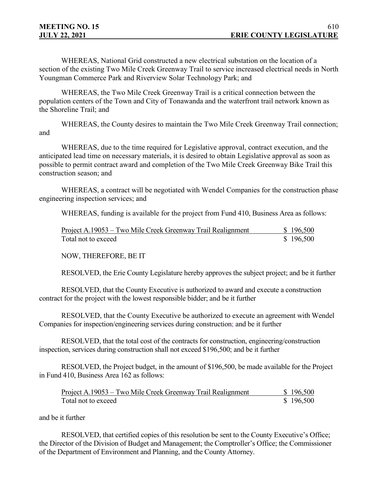WHEREAS, National Grid constructed a new electrical substation on the location of a section of the existing Two Mile Creek Greenway Trail to service increased electrical needs in North Youngman Commerce Park and Riverview Solar Technology Park; and

WHEREAS, the Two Mile Creek Greenway Trail is a critical connection between the population centers of the Town and City of Tonawanda and the waterfront trail network known as the Shoreline Trail; and

WHEREAS, the County desires to maintain the Two Mile Creek Greenway Trail connection; and

WHEREAS, due to the time required for Legislative approval, contract execution, and the anticipated lead time on necessary materials, it is desired to obtain Legislative approval as soon as possible to permit contract award and completion of the Two Mile Creek Greenway Bike Trail this construction season; and

WHEREAS, a contract will be negotiated with Wendel Companies for the construction phase engineering inspection services; and

WHEREAS, funding is available for the project from Fund 410, Business Area as follows:

| Project A.19053 – Two Mile Creek Greenway Trail Realignment | \$196,500 |
|-------------------------------------------------------------|-----------|
| Total not to exceed                                         | \$196,500 |

NOW, THEREFORE, BE IT

RESOLVED, the Erie County Legislature hereby approves the subject project; and be it further

RESOLVED, that the County Executive is authorized to award and execute a construction contract for the project with the lowest responsible bidder; and be it further

RESOLVED, that the County Executive be authorized to execute an agreement with Wendel Companies for inspection/engineering services during construction; and be it further

RESOLVED, that the total cost of the contracts for construction, engineering/construction inspection, services during construction shall not exceed \$196,500; and be it further

RESOLVED, the Project budget, in the amount of \$196,500, be made available for the Project in Fund 410, Business Area 162 as follows:

| Project A.19053 – Two Mile Creek Greenway Trail Realignment | \$196,500 |
|-------------------------------------------------------------|-----------|
| Total not to exceed                                         | \$196,500 |

and be it further

RESOLVED, that certified copies of this resolution be sent to the County Executive's Office; the Director of the Division of Budget and Management; the Comptroller's Office; the Commissioner of the Department of Environment and Planning, and the County Attorney.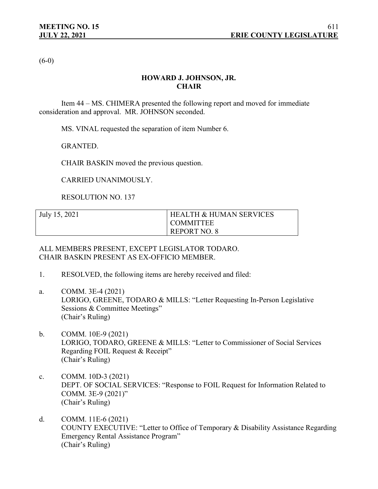$(6-0)$ 

# **HOWARD J. JOHNSON, JR. CHAIR**

Item 44 – MS. CHIMERA presented the following report and moved for immediate consideration and approval. MR. JOHNSON seconded.

MS. VINAL requested the separation of item Number 6.

GRANTED.

CHAIR BASKIN moved the previous question.

CARRIED UNANIMOUSLY.

RESOLUTION NO. 137

| July 15, 2021 | <b>HEALTH &amp; HUMAN SERVICES</b> |
|---------------|------------------------------------|
|               | I COMMITTEE                        |
|               | <b>REPORT NO. 8</b>                |

ALL MEMBERS PRESENT, EXCEPT LEGISLATOR TODARO. CHAIR BASKIN PRESENT AS EX-OFFICIO MEMBER.

- 1. RESOLVED, the following items are hereby received and filed:
- a. COMM. 3E-4 (2021) LORIGO, GREENE, TODARO & MILLS: "Letter Requesting In-Person Legislative Sessions & Committee Meetings" (Chair's Ruling)
- b. COMM. 10E-9 (2021) LORIGO, TODARO, GREENE & MILLS: "Letter to Commissioner of Social Services Regarding FOIL Request & Receipt" (Chair's Ruling)
- c. COMM. 10D-3 (2021) DEPT. OF SOCIAL SERVICES: "Response to FOIL Request for Information Related to COMM. 3E-9 (2021)" (Chair's Ruling)
- d. COMM. 11E-6 (2021) COUNTY EXECUTIVE: "Letter to Office of Temporary & Disability Assistance Regarding Emergency Rental Assistance Program" (Chair's Ruling)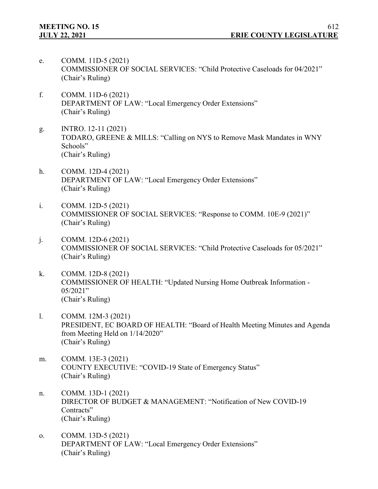- e. COMM. 11D-5 (2021) COMMISSIONER OF SOCIAL SERVICES: "Child Protective Caseloads for 04/2021" (Chair's Ruling)
- f. COMM. 11D-6 (2021) DEPARTMENT OF LAW: "Local Emergency Order Extensions" (Chair's Ruling)
- g. INTRO. 12-11 (2021) TODARO, GREENE & MILLS: "Calling on NYS to Remove Mask Mandates in WNY Schools" (Chair's Ruling)
- h. COMM. 12D-4 (2021) DEPARTMENT OF LAW: "Local Emergency Order Extensions" (Chair's Ruling)
- i. COMM. 12D-5 (2021) COMMISSIONER OF SOCIAL SERVICES: "Response to COMM. 10E-9 (2021)" (Chair's Ruling)
- j. COMM. 12D-6 (2021) COMMISSIONER OF SOCIAL SERVICES: "Child Protective Caseloads for 05/2021" (Chair's Ruling)
- k. COMM. 12D-8 (2021) COMMISSIONER OF HEALTH: "Updated Nursing Home Outbreak Information -  $05/2021"$ (Chair's Ruling)
- l. COMM. 12M-3 (2021) PRESIDENT, EC BOARD OF HEALTH: "Board of Health Meeting Minutes and Agenda from Meeting Held on 1/14/2020" (Chair's Ruling)
- m. COMM. 13E-3 (2021) COUNTY EXECUTIVE: "COVID-19 State of Emergency Status" (Chair's Ruling)
- n. COMM. 13D-1 (2021) DIRECTOR OF BUDGET & MANAGEMENT: "Notification of New COVID-19 Contracts" (Chair's Ruling)
- o. COMM. 13D-5 (2021) DEPARTMENT OF LAW: "Local Emergency Order Extensions" (Chair's Ruling)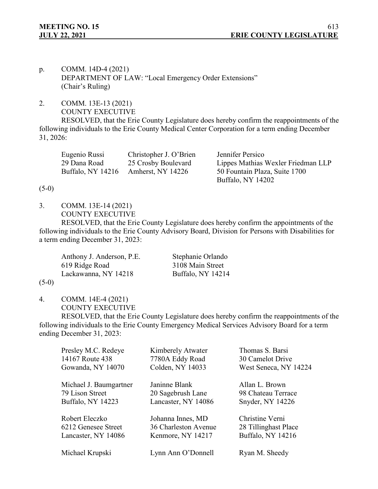- p. COMM. 14D-4 (2021) DEPARTMENT OF LAW: "Local Emergency Order Extensions" (Chair's Ruling)
- 2. COMM. 13E-13 (2021) COUNTY EXECUTIVE

RESOLVED, that the Erie County Legislature does hereby confirm the reappointments of the following individuals to the Erie County Medical Center Corporation for a term ending December 31, 2026:

| Eugenio Russi     | Christopher J. O'Brien | Jennifer Persico                   |
|-------------------|------------------------|------------------------------------|
| 29 Dana Road      | 25 Crosby Boulevard    | Lippes Mathias Wexler Friedman LLP |
| Buffalo, NY 14216 | Amherst, NY 14226      | 50 Fountain Plaza, Suite 1700      |
|                   |                        | Buffalo, NY 14202                  |

### $(5-0)$

3. COMM. 13E-14 (2021)

COUNTY EXECUTIVE

RESOLVED, that the Erie County Legislature does hereby confirm the appointments of the following individuals to the Erie County Advisory Board, Division for Persons with Disabilities for a term ending December 31, 2023:

Anthony J. Anderson, P.E. Stephanie Orlando 619 Ridge Road 3108 Main Street Lackawanna, NY 14218 Buffalo, NY 14214

#### $(5-0)$

4. COMM. 14E-4 (2021) COUNTY EXECUTIVE

RESOLVED, that the Erie County Legislature does hereby confirm the reappointments of the following individuals to the Erie County Emergency Medical Services Advisory Board for a term ending December 31, 2023:

| Presley M.C. Redeye      | Kimberely Atwater    | Thomas S. Barsi       |
|--------------------------|----------------------|-----------------------|
| 14167 Route 438          | 7780A Eddy Road      | 30 Camelot Drive      |
| Gowanda, NY 14070        | Colden, NY 14033     | West Seneca, NY 14224 |
| Michael J. Baumgartner   | Janinne Blank        | Allan L. Brown        |
| 79 Lison Street          | 20 Sagebrush Lane    | 98 Chateau Terrace    |
| <b>Buffalo, NY 14223</b> | Lancaster, NY 14086  | Snyder, NY 14226      |
| Robert Eleczko           | Johanna Innes, MD    | Christine Verni       |
| 6212 Genesee Street      | 36 Charleston Avenue | 28 Tillinghast Place  |
| Lancaster, NY 14086      | Kenmore, NY 14217    | Buffalo, NY 14216     |
| Michael Krupski          | Lynn Ann O'Donnell   | Ryan M. Sheedy        |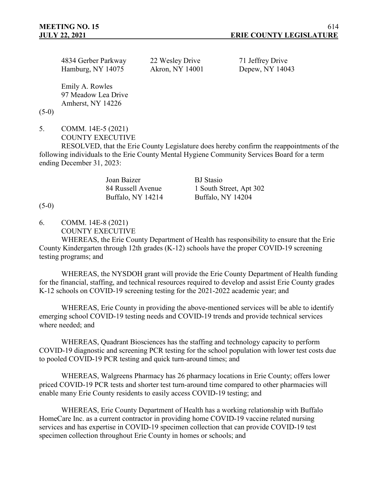| 4834 Gerber Parkway | 22 Wesley Driv |
|---------------------|----------------|
| Hamburg, NY 14075   | Akron, NY 140  |

 $\gamma$ e 71 Jeffrey Drive 101 Depew, NY 14043

Emily A. Rowles 97 Meadow Lea Drive Amherst, NY 14226

 $(5-0)$ 

5. COMM. 14E-5 (2021) COUNTY EXECUTIVE

RESOLVED, that the Erie County Legislature does hereby confirm the reappointments of the following individuals to the Erie County Mental Hygiene Community Services Board for a term ending December 31, 2023:

Joan Baizer BJ Stasio

84 Russell Avenue 1 South Street, Apt 302 Buffalo, NY 14214 Buffalo, NY 14204

 $(5-0)$ 

6. COMM. 14E-8 (2021)

COUNTY EXECUTIVE

WHEREAS, the Erie County Department of Health has responsibility to ensure that the Erie County Kindergarten through 12th grades (K-12) schools have the proper COVID-19 screening testing programs; and

WHEREAS, the NYSDOH grant will provide the Erie County Department of Health funding for the financial, staffing, and technical resources required to develop and assist Erie County grades K-12 schools on COVID-19 screening testing for the 2021-2022 academic year; and

WHEREAS, Erie County in providing the above-mentioned services will be able to identify emerging school COVID-19 testing needs and COVID-19 trends and provide technical services where needed; and

WHEREAS, Quadrant Biosciences has the staffing and technology capacity to perform COVID-19 diagnostic and screening PCR testing for the school population with lower test costs due to pooled COVID-19 PCR testing and quick turn-around times; and

WHEREAS, Walgreens Pharmacy has 26 pharmacy locations in Erie County; offers lower priced COVID-19 PCR tests and shorter test turn-around time compared to other pharmacies will enable many Erie County residents to easily access COVID-19 testing; and

WHEREAS, Erie County Department of Health has a working relationship with Buffalo HomeCare Inc. as a current contractor in providing home COVID-19 vaccine related nursing services and has expertise in COVID-19 specimen collection that can provide COVID-19 test specimen collection throughout Erie County in homes or schools; and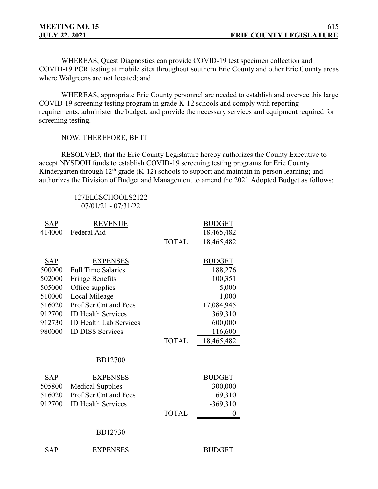WHEREAS, Quest Diagnostics can provide COVID-19 test specimen collection and COVID-19 PCR testing at mobile sites throughout southern Erie County and other Erie County areas where Walgreens are not located; and

WHEREAS, appropriate Erie County personnel are needed to establish and oversee this large COVID-19 screening testing program in grade K-12 schools and comply with reporting requirements, administer the budget, and provide the necessary services and equipment required for screening testing.

NOW, THEREFORE, BE IT

RESOLVED, that the Erie County Legislature hereby authorizes the County Executive to accept NYSDOH funds to establish COVID-19 screening testing programs for Erie County Kindergarten through  $12<sup>th</sup>$  grade (K-12) schools to support and maintain in-person learning; and authorizes the Division of Budget and Management to amend the 2021 Adopted Budget as follows:

> 127ELCSCHOOLS2122 07/01/21 - 07/31/22

| <b>SAP</b> | <b>REVENUE</b>                |              | <b>BUDGET</b> |
|------------|-------------------------------|--------------|---------------|
| 414000     | Federal Aid                   |              | 18,465,482    |
|            |                               | <b>TOTAL</b> | 18,465,482    |
|            |                               |              |               |
| SAP        | <b>EXPENSES</b>               |              | <b>BUDGET</b> |
| 500000     | <b>Full Time Salaries</b>     |              | 188,276       |
| 502000     | <b>Fringe Benefits</b>        |              | 100,351       |
| 505000     | Office supplies               |              | 5,000         |
| 510000     | Local Mileage                 |              | 1,000         |
| 516020     | Prof Ser Cnt and Fees         |              | 17,084,945    |
| 912700     | <b>ID Health Services</b>     |              | 369,310       |
| 912730     | <b>ID Health Lab Services</b> |              | 600,000       |
| 980000     | <b>ID DISS Services</b>       |              | 116,600       |
|            |                               | <b>TOTAL</b> | 18,465,482    |
|            |                               |              |               |
|            | <b>BD12700</b>                |              |               |
| <b>SAP</b> | <b>EXPENSES</b>               |              | <b>BUDGET</b> |
| 505800     | <b>Medical Supplies</b>       |              | 300,000       |
| 516020     | Prof Ser Cnt and Fees         |              | 69,310        |
| 912700     | <b>ID Health Services</b>     |              | $-369,310$    |
|            |                               | <b>TOTAL</b> | 0             |
|            |                               |              |               |
|            | <b>BD12730</b>                |              |               |
| SAP        | <b>EXPENSES</b>               |              | <b>BUDGET</b> |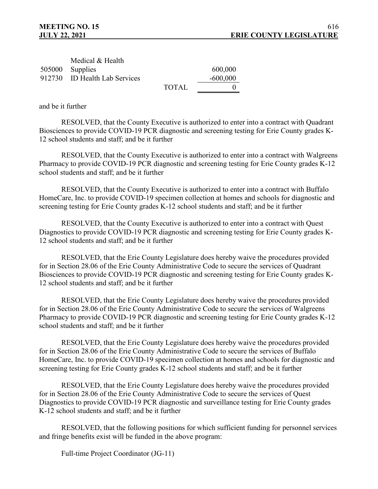| Medical & Health              |       |            |
|-------------------------------|-------|------------|
| 505000 Supplies               |       | 600,000    |
| 912730 ID Health Lab Services |       | $-600,000$ |
|                               | TOTAL |            |

and be it further

RESOLVED, that the County Executive is authorized to enter into a contract with Quadrant Biosciences to provide COVID-19 PCR diagnostic and screening testing for Erie County grades K-12 school students and staff; and be it further

RESOLVED, that the County Executive is authorized to enter into a contract with Walgreens Pharmacy to provide COVID-19 PCR diagnostic and screening testing for Erie County grades K-12 school students and staff; and be it further

RESOLVED, that the County Executive is authorized to enter into a contract with Buffalo HomeCare, Inc. to provide COVID-19 specimen collection at homes and schools for diagnostic and screening testing for Erie County grades K-12 school students and staff; and be it further

RESOLVED, that the County Executive is authorized to enter into a contract with Quest Diagnostics to provide COVID-19 PCR diagnostic and screening testing for Erie County grades K-12 school students and staff; and be it further

RESOLVED, that the Erie County Legislature does hereby waive the procedures provided for in Section 28.06 of the Erie County Administrative Code to secure the services of Quadrant Biosciences to provide COVID-19 PCR diagnostic and screening testing for Erie County grades K-12 school students and staff; and be it further

 RESOLVED, that the Erie County Legislature does hereby waive the procedures provided for in Section 28.06 of the Erie County Administrative Code to secure the services of Walgreens Pharmacy to provide COVID-19 PCR diagnostic and screening testing for Erie County grades K-12 school students and staff; and be it further

RESOLVED, that the Erie County Legislature does hereby waive the procedures provided for in Section 28.06 of the Erie County Administrative Code to secure the services of Buffalo HomeCare, Inc. to provide COVID-19 specimen collection at homes and schools for diagnostic and screening testing for Erie County grades K-12 school students and staff; and be it further

RESOLVED, that the Erie County Legislature does hereby waive the procedures provided for in Section 28.06 of the Erie County Administrative Code to secure the services of Quest Diagnostics to provide COVID-19 PCR diagnostic and surveillance testing for Erie County grades K-12 school students and staff; and be it further

RESOLVED, that the following positions for which sufficient funding for personnel services and fringe benefits exist will be funded in the above program:

Full-time Project Coordinator (JG-11)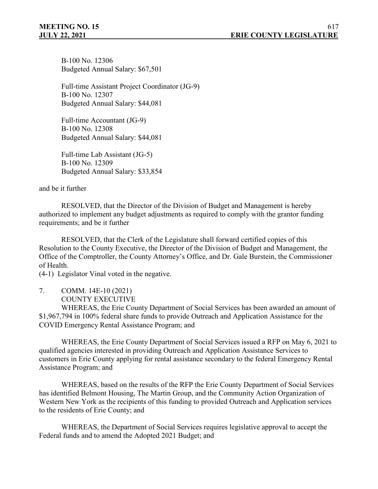B-100 No. 12306 Budgeted Annual Salary: \$67,501

Full-time Assistant Project Coordinator (JG-9) B-100 No. 12307 Budgeted Annual Salary: \$44,081

Full-time Accountant (JG-9) B-100 No. 12308 Budgeted Annual Salary: \$44,081

Full-time Lab Assistant (JG-5) B-100 No. 12309 Budgeted Annual Salary: \$33,854

and be it further

RESOLVED, that the Director of the Division of Budget and Management is hereby authorized to implement any budget adjustments as required to comply with the grantor funding requirements; and be it further

RESOLVED, that the Clerk of the Legislature shall forward certified copies of this Resolution to the County Executive, the Director of the Division of Budget and Management, the Office of the Comptroller, the County Attorney's Office, and Dr. Gale Burstein, the Commissioner of Health.

(4-1) Legislator Vinal voted in the negative.

7. COMM. 14E-10 (2021) COUNTY EXECUTIVE

WHEREAS, the Erie County Department of Social Services has been awarded an amount of \$1,967,794 in 100% federal share funds to provide Outreach and Application Assistance for the COVID Emergency Rental Assistance Program; and

WHEREAS, the Erie County Department of Social Services issued a RFP on May 6, 2021 to qualified agencies interested in providing Outreach and Application Assistance Services to customers in Erie County applying for rental assistance secondary to the federal Emergency Rental Assistance Program; and

WHEREAS, based on the results of the RFP the Erie County Department of Social Services has identified Belmont Housing, The Martin Group, and the Community Action Organization of Western New York as the recipients of this funding to provided Outreach and Application services to the residents of Erie County; and

WHEREAS, the Department of Social Services requires legislative approval to accept the Federal funds and to amend the Adopted 2021 Budget; and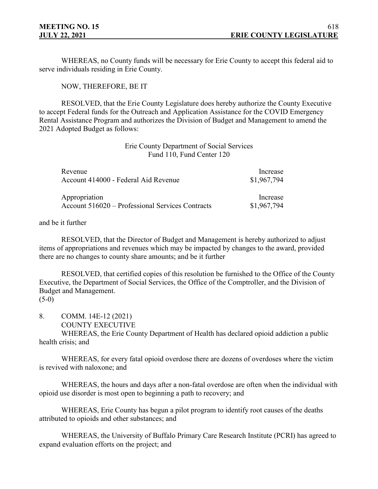WHEREAS, no County funds will be necessary for Erie County to accept this federal aid to serve individuals residing in Erie County.

NOW, THEREFORE, BE IT

RESOLVED, that the Erie County Legislature does hereby authorize the County Executive to accept Federal funds for the Outreach and Application Assistance for the COVID Emergency Rental Assistance Program and authorizes the Division of Budget and Management to amend the 2021 Adopted Budget as follows:

# Erie County Department of Social Services Fund 110, Fund Center 120

| Revenue                                          | Increase    |
|--------------------------------------------------|-------------|
| Account 414000 - Federal Aid Revenue             | \$1,967,794 |
| Appropriation                                    | Increase    |
| Account 516020 – Professional Services Contracts | \$1,967,794 |

#### and be it further

RESOLVED, that the Director of Budget and Management is hereby authorized to adjust items of appropriations and revenues which may be impacted by changes to the award, provided there are no changes to county share amounts; and be it further

RESOLVED, that certified copies of this resolution be furnished to the Office of the County Executive, the Department of Social Services, the Office of the Comptroller, and the Division of Budget and Management.

 $(5-0)$ 

8. COMM. 14E-12 (2021)

COUNTY EXECUTIVE

WHEREAS, the Erie County Department of Health has declared opioid addiction a public health crisis; and

WHEREAS, for every fatal opioid overdose there are dozens of overdoses where the victim is revived with naloxone; and

WHEREAS, the hours and days after a non-fatal overdose are often when the individual with opioid use disorder is most open to beginning a path to recovery; and

WHEREAS, Erie County has begun a pilot program to identify root causes of the deaths attributed to opioids and other substances; and

WHEREAS, the University of Buffalo Primary Care Research Institute (PCRI) has agreed to expand evaluation efforts on the project; and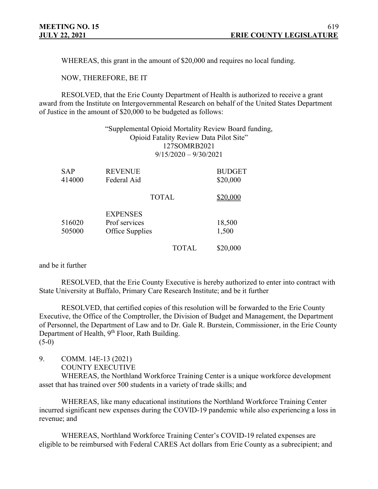WHEREAS, this grant in the amount of \$20,000 and requires no local funding.

NOW, THEREFORE, BE IT

RESOLVED, that the Erie County Department of Health is authorized to receive a grant award from the Institute on Intergovernmental Research on behalf of the United States Department of Justice in the amount of \$20,000 to be budgeted as follows:

|                      |                                                     | 127SOMRB2021<br>$9/15/2020 - 9/30/2021$ | "Supplemental Opioid Mortality Review Board funding,<br>Opioid Fatality Review Data Pilot Site" |
|----------------------|-----------------------------------------------------|-----------------------------------------|-------------------------------------------------------------------------------------------------|
| <b>SAP</b><br>414000 | <b>REVENUE</b><br>Federal Aid                       |                                         | <b>BUDGET</b><br>\$20,000                                                                       |
|                      | <b>TOTAL</b>                                        |                                         | \$20,000                                                                                        |
| 516020<br>505000     | <b>EXPENSES</b><br>Prof services<br>Office Supplies |                                         | 18,500<br>1,500                                                                                 |
|                      |                                                     | TOTAL                                   | \$20,000                                                                                        |

and be it further

RESOLVED, that the Erie County Executive is hereby authorized to enter into contract with State University at Buffalo, Primary Care Research Institute; and be it further

RESOLVED, that certified copies of this resolution will be forwarded to the Erie County Executive, the Office of the Comptroller, the Division of Budget and Management, the Department of Personnel, the Department of Law and to Dr. Gale R. Burstein, Commissioner, in the Erie County Department of Health, 9<sup>th</sup> Floor, Rath Building. (5-0)

9. COMM. 14E-13 (2021)

COUNTY EXECUTIVE

WHEREAS, the Northland Workforce Training Center is a unique workforce development asset that has trained over 500 students in a variety of trade skills; and

WHEREAS, like many educational institutions the Northland Workforce Training Center incurred significant new expenses during the COVID-19 pandemic while also experiencing a loss in revenue; and

WHEREAS, Northland Workforce Training Center's COVID-19 related expenses are eligible to be reimbursed with Federal CARES Act dollars from Erie County as a subrecipient; and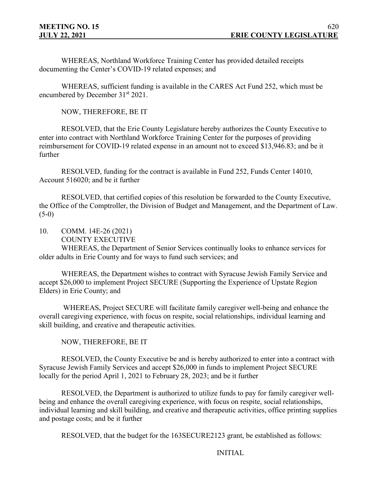WHEREAS, Northland Workforce Training Center has provided detailed receipts documenting the Center's COVID-19 related expenses; and

WHEREAS, sufficient funding is available in the CARES Act Fund 252, which must be encumbered by December 31<sup>st</sup> 2021.

NOW, THEREFORE, BE IT

RESOLVED, that the Erie County Legislature hereby authorizes the County Executive to enter into contract with Northland Workforce Training Center for the purposes of providing reimbursement for COVID-19 related expense in an amount not to exceed \$13,946.83; and be it further

RESOLVED, funding for the contract is available in Fund 252, Funds Center 14010, Account 516020; and be it further

RESOLVED, that certified copies of this resolution be forwarded to the County Executive, the Office of the Comptroller, the Division of Budget and Management, and the Department of Law.  $(5-0)$ 

- 10. COMM. 14E-26 (2021)
	- COUNTY EXECUTIVE

WHEREAS, the Department of Senior Services continually looks to enhance services for older adults in Erie County and for ways to fund such services; and

WHEREAS, the Department wishes to contract with Syracuse Jewish Family Service and accept \$26,000 to implement Project SECURE (Supporting the Experience of Upstate Region Elders) in Erie County; and

WHEREAS, Project SECURE will facilitate family caregiver well-being and enhance the overall caregiving experience, with focus on respite, social relationships, individual learning and skill building, and creative and therapeutic activities.

NOW, THEREFORE, BE IT

RESOLVED, the County Executive be and is hereby authorized to enter into a contract with Syracuse Jewish Family Services and accept \$26,000 in funds to implement Project SECURE locally for the period April 1, 2021 to February 28, 2023; and be it further

RESOLVED, the Department is authorized to utilize funds to pay for family caregiver wellbeing and enhance the overall caregiving experience, with focus on respite, social relationships, individual learning and skill building, and creative and therapeutic activities, office printing supplies and postage costs; and be it further

RESOLVED, that the budget for the 163SECURE2123 grant, be established as follows:

INITIAL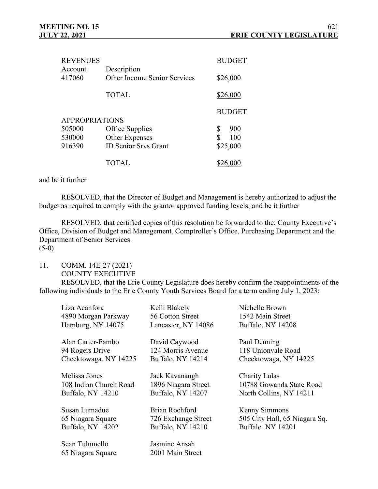| <b>REVENUES</b>       |                                             | <b>BUDGET</b> |
|-----------------------|---------------------------------------------|---------------|
| Account<br>417060     | Description<br>Other Income Senior Services | \$26,000      |
|                       |                                             |               |
|                       | <b>TOTAL</b>                                | \$26,000      |
|                       |                                             | <b>BUDGET</b> |
| <b>APPROPRIATIONS</b> |                                             |               |
| 505000                | Office Supplies                             | S<br>900      |
| 530000                | Other Expenses                              | \$<br>100     |
| 916390                | <b>ID Senior Srvs Grant</b>                 | \$25,000      |
|                       | <b>TOTAL</b>                                |               |

and be it further

RESOLVED, that the Director of Budget and Management is hereby authorized to adjust the budget as required to comply with the grantor approved funding levels; and be it further

RESOLVED, that certified copies of this resolution be forwarded to the: County Executive's Office, Division of Budget and Management, Comptroller's Office, Purchasing Department and the Department of Senior Services.  $(5-0)$ 

11. COMM. 14E-27 (2021)

COUNTY EXECUTIVE

RESOLVED, that the Erie County Legislature does hereby confirm the reappointments of the following individuals to the Erie County Youth Services Board for a term ending July 1, 2023:

| Liza Acanfora          | Kelli Blakely            | Nichelle Brown                |
|------------------------|--------------------------|-------------------------------|
| 4890 Morgan Parkway    | 56 Cotton Street         | 1542 Main Street              |
| Hamburg, NY 14075      | Lancaster, NY 14086      | Buffalo, NY 14208             |
| Alan Carter-Fambo      | David Caywood            | Paul Denning                  |
| 94 Rogers Drive        | 124 Morris Avenue        | 118 Unionvale Road            |
| Cheektowaga, NY 14225  | Buffalo, NY 14214        | Cheektowaga, NY 14225         |
| Melissa Jones          | Jack Kavanaugh           | Charity Lulas                 |
| 108 Indian Church Road | 1896 Niagara Street      | 10788 Gowanda State Road      |
| Buffalo, NY 14210      | Buffalo, NY 14207        | North Collins, NY 14211       |
| Susan Lumadue          | <b>Brian Rochford</b>    | Kenny Simmons                 |
| 65 Niagara Square      | 726 Exchange Street      | 505 City Hall, 65 Niagara Sq. |
| Buffalo, NY 14202      | <b>Buffalo, NY 14210</b> | <b>Buffalo. NY 14201</b>      |
| Sean Tulumello         | Jasmine Ansah            |                               |
| 65 Niagara Square      | 2001 Main Street         |                               |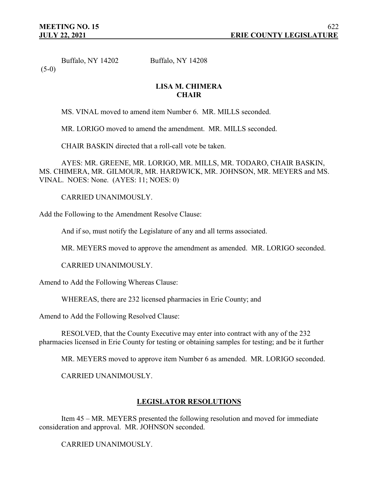Buffalo, NY 14202 Buffalo, NY 14208

 $(5-0)$ 

## **LISA M. CHIMERA CHAIR**

MS. VINAL moved to amend item Number 6. MR. MILLS seconded.

MR. LORIGO moved to amend the amendment. MR. MILLS seconded.

CHAIR BASKIN directed that a roll-call vote be taken.

AYES: MR. GREENE, MR. LORIGO, MR. MILLS, MR. TODARO, CHAIR BASKIN, MS. CHIMERA, MR. GILMOUR, MR. HARDWICK, MR. JOHNSON, MR. MEYERS and MS. VINAL. NOES: None. (AYES: 11; NOES: 0)

CARRIED UNANIMOUSLY.

Add the Following to the Amendment Resolve Clause:

And if so, must notify the Legislature of any and all terms associated.

MR. MEYERS moved to approve the amendment as amended. MR. LORIGO seconded.

CARRIED UNANIMOUSLY.

Amend to Add the Following Whereas Clause:

WHEREAS, there are 232 licensed pharmacies in Erie County; and

Amend to Add the Following Resolved Clause:

RESOLVED, that the County Executive may enter into contract with any of the 232 pharmacies licensed in Erie County for testing or obtaining samples for testing; and be it further

MR. MEYERS moved to approve item Number 6 as amended. MR. LORIGO seconded.

CARRIED UNANIMOUSLY.

# **LEGISLATOR RESOLUTIONS**

Item 45 – MR. MEYERS presented the following resolution and moved for immediate consideration and approval. MR. JOHNSON seconded.

CARRIED UNANIMOUSLY.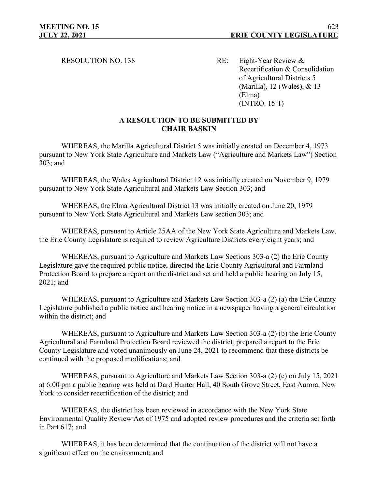RESOLUTION NO. 138 RE: Eight-Year Review & Recertification & Consolidation of Agricultural Districts 5 (Marilla), 12 (Wales), & 13 (Elma) (INTRO. 15-1)

## **A RESOLUTION TO BE SUBMITTED BY CHAIR BASKIN**

WHEREAS, the Marilla Agricultural District 5 was initially created on December 4, 1973 pursuant to New York State Agriculture and Markets Law ("Agriculture and Markets Law") Section 303; and

WHEREAS, the Wales Agricultural District 12 was initially created on November 9, 1979 pursuant to New York State Agricultural and Markets Law Section 303; and

WHEREAS, the Elma Agricultural District 13 was initially created on June 20, 1979 pursuant to New York State Agricultural and Markets Law section 303; and

WHEREAS, pursuant to Article 25AA of the New York State Agriculture and Markets Law, the Erie County Legislature is required to review Agriculture Districts every eight years; and

WHEREAS, pursuant to Agriculture and Markets Law Sections 303-a (2) the Erie County Legislature gave the required public notice, directed the Erie County Agricultural and Farmland Protection Board to prepare a report on the district and set and held a public hearing on July 15, 2021; and

WHEREAS, pursuant to Agriculture and Markets Law Section 303-a (2) (a) the Erie County Legislature published a public notice and hearing notice in a newspaper having a general circulation within the district; and

WHEREAS, pursuant to Agriculture and Markets Law Section 303-a (2) (b) the Erie County Agricultural and Farmland Protection Board reviewed the district, prepared a report to the Erie County Legislature and voted unanimously on June 24, 2021 to recommend that these districts be continued with the proposed modifications; and

WHEREAS, pursuant to Agriculture and Markets Law Section 303-a (2) (c) on July 15, 2021 at 6:00 pm a public hearing was held at Dard Hunter Hall, 40 South Grove Street, East Aurora, New York to consider recertification of the district; and

WHEREAS, the district has been reviewed in accordance with the New York State Environmental Quality Review Act of 1975 and adopted review procedures and the criteria set forth in Part 617; and

WHEREAS, it has been determined that the continuation of the district will not have a significant effect on the environment; and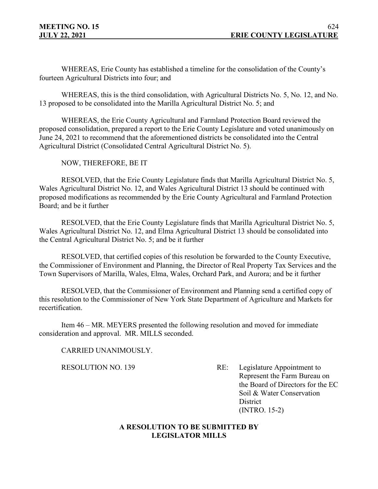WHEREAS, Erie County has established a timeline for the consolidation of the County's fourteen Agricultural Districts into four; and

WHEREAS, this is the third consolidation, with Agricultural Districts No. 5, No. 12, and No. 13 proposed to be consolidated into the Marilla Agricultural District No. 5; and

WHEREAS, the Erie County Agricultural and Farmland Protection Board reviewed the proposed consolidation, prepared a report to the Erie County Legislature and voted unanimously on June 24, 2021 to recommend that the aforementioned districts be consolidated into the Central Agricultural District (Consolidated Central Agricultural District No. 5).

NOW, THEREFORE, BE IT

RESOLVED, that the Erie County Legislature finds that Marilla Agricultural District No. 5, Wales Agricultural District No. 12, and Wales Agricultural District 13 should be continued with proposed modifications as recommended by the Erie County Agricultural and Farmland Protection Board; and be it further

RESOLVED, that the Erie County Legislature finds that Marilla Agricultural District No. 5, Wales Agricultural District No. 12, and Elma Agricultural District 13 should be consolidated into the Central Agricultural District No. 5; and be it further

RESOLVED, that certified copies of this resolution be forwarded to the County Executive, the Commissioner of Environment and Planning, the Director of Real Property Tax Services and the Town Supervisors of Marilla, Wales, Elma, Wales, Orchard Park, and Aurora; and be it further

RESOLVED, that the Commissioner of Environment and Planning send a certified copy of this resolution to the Commissioner of New York State Department of Agriculture and Markets for recertification.

Item 46 – MR. MEYERS presented the following resolution and moved for immediate consideration and approval. MR. MILLS seconded.

CARRIED UNANIMOUSLY.

RESOLUTION NO. 139 RE: Legislature Appointment to Represent the Farm Bureau on the Board of Directors for the EC Soil & Water Conservation **District** (INTRO. 15-2)

# **A RESOLUTION TO BE SUBMITTED BY LEGISLATOR MILLS**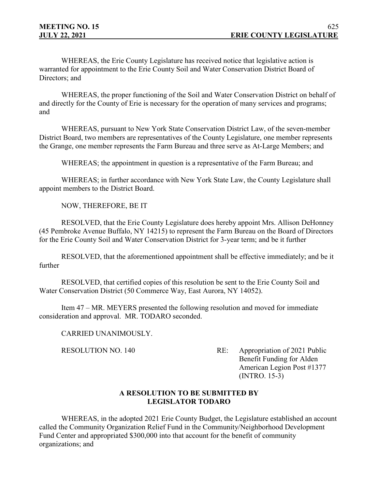WHEREAS, the Erie County Legislature has received notice that legislative action is warranted for appointment to the Erie County Soil and Water Conservation District Board of Directors; and

WHEREAS, the proper functioning of the Soil and Water Conservation District on behalf of and directly for the County of Erie is necessary for the operation of many services and programs; and

WHEREAS, pursuant to New York State Conservation District Law, of the seven-member District Board, two members are representatives of the County Legislature, one member represents the Grange, one member represents the Farm Bureau and three serve as At-Large Members; and

WHEREAS; the appointment in question is a representative of the Farm Bureau; and

WHEREAS; in further accordance with New York State Law, the County Legislature shall appoint members to the District Board.

NOW, THEREFORE, BE IT

RESOLVED, that the Erie County Legislature does hereby appoint Mrs. Allison DeHonney (45 Pembroke Avenue Buffalo, NY 14215) to represent the Farm Bureau on the Board of Directors for the Erie County Soil and Water Conservation District for 3-year term; and be it further

RESOLVED, that the aforementioned appointment shall be effective immediately; and be it further

RESOLVED, that certified copies of this resolution be sent to the Erie County Soil and Water Conservation District (50 Commerce Way, East Aurora, NY 14052).

Item 47 – MR. MEYERS presented the following resolution and moved for immediate consideration and approval. MR. TODARO seconded.

CARRIED UNANIMOUSLY.

RESOLUTION NO. 140 RE: Appropriation of 2021 Public Benefit Funding for Alden American Legion Post #1377 (INTRO. 15-3)

## **A RESOLUTION TO BE SUBMITTED BY LEGISLATOR TODARO**

WHEREAS, in the adopted 2021 Erie County Budget, the Legislature established an account called the Community Organization Relief Fund in the Community/Neighborhood Development Fund Center and appropriated \$300,000 into that account for the benefit of community organizations; and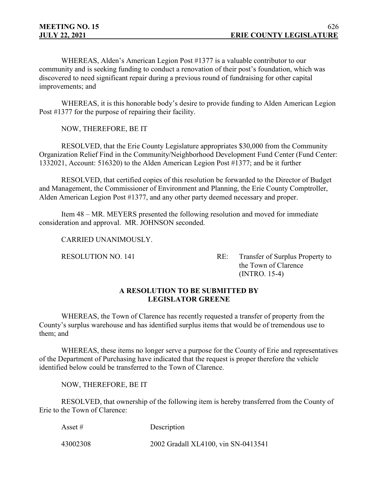WHEREAS, Alden's American Legion Post #1377 is a valuable contributor to our community and is seeking funding to conduct a renovation of their post's foundation, which was discovered to need significant repair during a previous round of fundraising for other capital improvements; and

WHEREAS, it is this honorable body's desire to provide funding to Alden American Legion Post #1377 for the purpose of repairing their facility.

NOW, THEREFORE, BE IT

RESOLVED, that the Erie County Legislature appropriates \$30,000 from the Community Organization Relief Find in the Community/Neighborhood Development Fund Center (Fund Center: 1332021, Account: 516320) to the Alden American Legion Post #1377; and be it further

RESOLVED, that certified copies of this resolution be forwarded to the Director of Budget and Management, the Commissioner of Environment and Planning, the Erie County Comptroller, Alden American Legion Post #1377, and any other party deemed necessary and proper.

Item 48 – MR. MEYERS presented the following resolution and moved for immediate consideration and approval. MR. JOHNSON seconded.

CARRIED UNANIMOUSLY.

RESOLUTION NO. 141 RE: Transfer of Surplus Property to the Town of Clarence (INTRO. 15-4)

# **A RESOLUTION TO BE SUBMITTED BY LEGISLATOR GREENE**

WHEREAS, the Town of Clarence has recently requested a transfer of property from the County's surplus warehouse and has identified surplus items that would be of tremendous use to them; and

WHEREAS, these items no longer serve a purpose for the County of Erie and representatives of the Department of Purchasing have indicated that the request is proper therefore the vehicle identified below could be transferred to the Town of Clarence.

NOW, THEREFORE, BE IT

RESOLVED, that ownership of the following item is hereby transferred from the County of Erie to the Town of Clarence:

Asset # Description 43002308 2002 Gradall XL4100, vin SN-0413541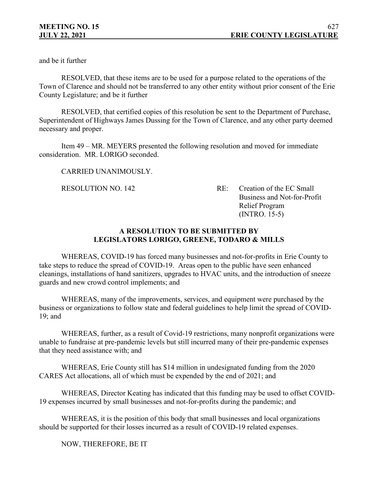and be it further

 RESOLVED, that these items are to be used for a purpose related to the operations of the Town of Clarence and should not be transferred to any other entity without prior consent of the Erie County Legislature; and be it further

RESOLVED, that certified copies of this resolution be sent to the Department of Purchase, Superintendent of Highways James Dussing for the Town of Clarence, and any other party deemed necessary and proper.

Item 49 – MR. MEYERS presented the following resolution and moved for immediate consideration. MR. LORIGO seconded.

# CARRIED UNANIMOUSLY.

RESOLUTION NO. 142 RE: Creation of the EC Small Business and Not-for-Profit Relief Program (INTRO. 15-5)

# **A RESOLUTION TO BE SUBMITTED BY LEGISLATORS LORIGO, GREENE, TODARO & MILLS**

WHEREAS, COVID-19 has forced many businesses and not-for-profits in Erie County to take steps to reduce the spread of COVID-19. Areas open to the public have seen enhanced cleanings, installations of hand sanitizers, upgrades to HVAC units, and the introduction of sneeze guards and new crowd control implements; and

WHEREAS, many of the improvements, services, and equipment were purchased by the business or organizations to follow state and federal guidelines to help limit the spread of COVID-19; and

WHEREAS, further, as a result of Covid-19 restrictions, many nonprofit organizations were unable to fundraise at pre-pandemic levels but still incurred many of their pre-pandemic expenses that they need assistance with; and

WHEREAS, Erie County still has \$14 million in undesignated funding from the 2020 CARES Act allocations, all of which must be expended by the end of 2021; and

WHEREAS, Director Keating has indicated that this funding may be used to offset COVID-19 expenses incurred by small businesses and not-for-profits during the pandemic; and

WHEREAS, it is the position of this body that small businesses and local organizations should be supported for their losses incurred as a result of COVID-19 related expenses.

NOW, THEREFORE, BE IT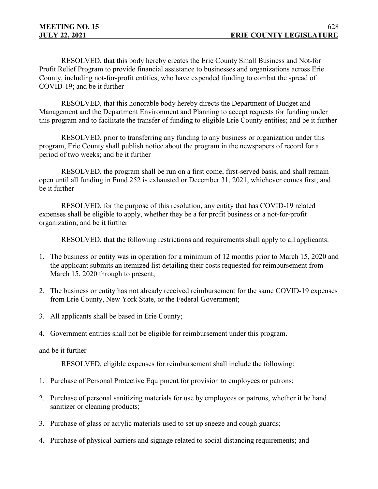RESOLVED, that this body hereby creates the Erie County Small Business and Not-for Profit Relief Program to provide financial assistance to businesses and organizations across Erie County, including not-for-profit entities, who have expended funding to combat the spread of COVID-19; and be it further

RESOLVED, that this honorable body hereby directs the Department of Budget and Management and the Department Environment and Planning to accept requests for funding under this program and to facilitate the transfer of funding to eligible Erie County entities; and be it further

RESOLVED, prior to transferring any funding to any business or organization under this program, Erie County shall publish notice about the program in the newspapers of record for a period of two weeks; and be it further

RESOLVED, the program shall be run on a first come, first-served basis, and shall remain open until all funding in Fund 252 is exhausted or December 31, 2021, whichever comes first; and be it further

RESOLVED, for the purpose of this resolution, any entity that has COVID-19 related expenses shall be eligible to apply, whether they be a for profit business or a not-for-profit organization; and be it further

RESOLVED, that the following restrictions and requirements shall apply to all applicants:

- 1. The business or entity was in operation for a minimum of 12 months prior to March 15, 2020 and the applicant submits an itemized list detailing their costs requested for reimbursement from March 15, 2020 through to present;
- 2. The business or entity has not already received reimbursement for the same COVID-19 expenses from Erie County, New York State, or the Federal Government;
- 3. All applicants shall be based in Erie County;
- 4. Government entities shall not be eligible for reimbursement under this program.

#### and be it further

RESOLVED, eligible expenses for reimbursement shall include the following:

- 1. Purchase of Personal Protective Equipment for provision to employees or patrons;
- 2. Purchase of personal sanitizing materials for use by employees or patrons, whether it be hand sanitizer or cleaning products;
- 3. Purchase of glass or acrylic materials used to set up sneeze and cough guards;
- 4. Purchase of physical barriers and signage related to social distancing requirements; and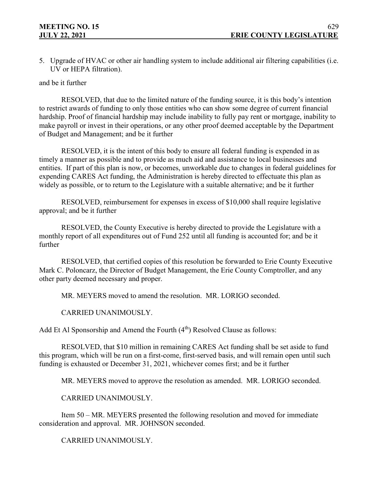5. Upgrade of HVAC or other air handling system to include additional air filtering capabilities (i.e. UV or HEPA filtration).

#### and be it further

RESOLVED, that due to the limited nature of the funding source, it is this body's intention to restrict awards of funding to only those entities who can show some degree of current financial hardship. Proof of financial hardship may include inability to fully pay rent or mortgage, inability to make payroll or invest in their operations, or any other proof deemed acceptable by the Department of Budget and Management; and be it further

RESOLVED, it is the intent of this body to ensure all federal funding is expended in as timely a manner as possible and to provide as much aid and assistance to local businesses and entities. If part of this plan is now, or becomes, unworkable due to changes in federal guidelines for expending CARES Act funding, the Administration is hereby directed to effectuate this plan as widely as possible, or to return to the Legislature with a suitable alternative; and be it further

RESOLVED, reimbursement for expenses in excess of \$10,000 shall require legislative approval; and be it further

RESOLVED, the County Executive is hereby directed to provide the Legislature with a monthly report of all expenditures out of Fund 252 until all funding is accounted for; and be it further

RESOLVED, that certified copies of this resolution be forwarded to Erie County Executive Mark C. Poloncarz, the Director of Budget Management, the Erie County Comptroller, and any other party deemed necessary and proper.

MR. MEYERS moved to amend the resolution. MR. LORIGO seconded.

## CARRIED UNANIMOUSLY.

Add Et Al Sponsorship and Amend the Fourth  $(4<sup>th</sup>)$  Resolved Clause as follows:

RESOLVED, that \$10 million in remaining CARES Act funding shall be set aside to fund this program, which will be run on a first-come, first-served basis, and will remain open until such funding is exhausted or December 31, 2021, whichever comes first; and be it further

MR. MEYERS moved to approve the resolution as amended. MR. LORIGO seconded.

CARRIED UNANIMOUSLY.

Item 50 – MR. MEYERS presented the following resolution and moved for immediate consideration and approval. MR. JOHNSON seconded.

CARRIED UNANIMOUSLY.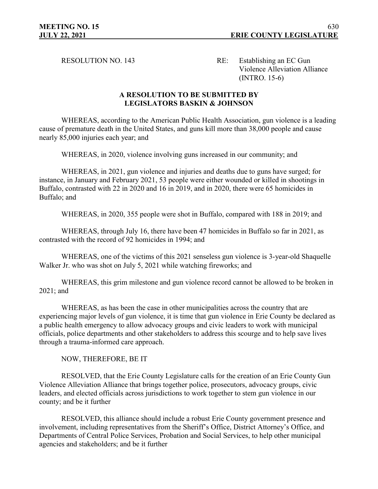RESOLUTION NO. 143 RE: Establishing an EC Gun Violence Alleviation Alliance (INTRO. 15-6)

## **A RESOLUTION TO BE SUBMITTED BY LEGISLATORS BASKIN & JOHNSON**

WHEREAS, according to the American Public Health Association, gun violence is a leading cause of premature death in the United States, and guns kill more than 38,000 people and cause nearly 85,000 injuries each year; and

WHEREAS, in 2020, violence involving guns increased in our community; and

WHEREAS, in 2021, gun violence and injuries and deaths due to guns have surged; for instance, in January and February 2021, 53 people were either wounded or killed in shootings in Buffalo, contrasted with 22 in 2020 and 16 in 2019, and in 2020, there were 65 homicides in Buffalo; and

WHEREAS, in 2020, 355 people were shot in Buffalo, compared with 188 in 2019; and

WHEREAS, through July 16, there have been 47 homicides in Buffalo so far in 2021, as contrasted with the record of 92 homicides in 1994; and

WHEREAS, one of the victims of this 2021 senseless gun violence is 3-year-old Shaquelle Walker Jr. who was shot on July 5, 2021 while watching fireworks; and

WHEREAS, this grim milestone and gun violence record cannot be allowed to be broken in 2021; and

WHEREAS, as has been the case in other municipalities across the country that are experiencing major levels of gun violence, it is time that gun violence in Erie County be declared as a public health emergency to allow advocacy groups and civic leaders to work with municipal officials, police departments and other stakeholders to address this scourge and to help save lives through a trauma-informed care approach.

NOW, THEREFORE, BE IT

RESOLVED, that the Erie County Legislature calls for the creation of an Erie County Gun Violence Alleviation Alliance that brings together police, prosecutors, advocacy groups, civic leaders, and elected officials across jurisdictions to work together to stem gun violence in our county; and be it further

RESOLVED, this alliance should include a robust Erie County government presence and involvement, including representatives from the Sheriff's Office, District Attorney's Office, and Departments of Central Police Services, Probation and Social Services, to help other municipal agencies and stakeholders; and be it further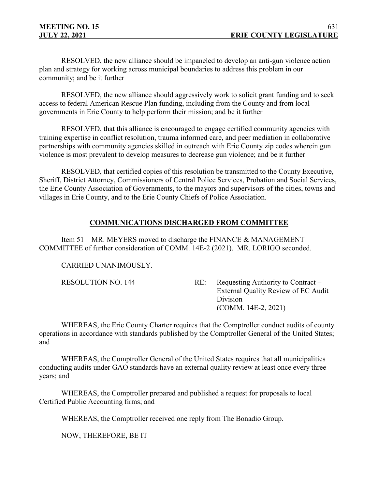RESOLVED, the new alliance should be impaneled to develop an anti-gun violence action plan and strategy for working across municipal boundaries to address this problem in our community; and be it further

RESOLVED, the new alliance should aggressively work to solicit grant funding and to seek access to federal American Rescue Plan funding, including from the County and from local governments in Erie County to help perform their mission; and be it further

RESOLVED, that this alliance is encouraged to engage certified community agencies with training expertise in conflict resolution, trauma informed care, and peer mediation in collaborative partnerships with community agencies skilled in outreach with Erie County zip codes wherein gun violence is most prevalent to develop measures to decrease gun violence; and be it further

RESOLVED, that certified copies of this resolution be transmitted to the County Executive, Sheriff, District Attorney, Commissioners of Central Police Services, Probation and Social Services, the Erie County Association of Governments, to the mayors and supervisors of the cities, towns and villages in Erie County, and to the Erie County Chiefs of Police Association.

# **COMMUNICATIONS DISCHARGED FROM COMMITTEE**

Item 51 – MR. MEYERS moved to discharge the FINANCE & MANAGEMENT COMMITTEE of further consideration of COMM. 14E-2 (2021). MR. LORIGO seconded.

CARRIED UNANIMOUSLY.

| Requesting Authority to Contract $-$ |
|--------------------------------------|
| External Quality Review of EC Audit  |
| Division                             |
| $(COMM. 14E-2, 2021)$                |
|                                      |

WHEREAS, the Erie County Charter requires that the Comptroller conduct audits of county operations in accordance with standards published by the Comptroller General of the United States; and

WHEREAS, the Comptroller General of the United States requires that all municipalities conducting audits under GAO standards have an external quality review at least once every three years; and

WHEREAS, the Comptroller prepared and published a request for proposals to local Certified Public Accounting firms; and

WHEREAS, the Comptroller received one reply from The Bonadio Group.

NOW, THEREFORE, BE IT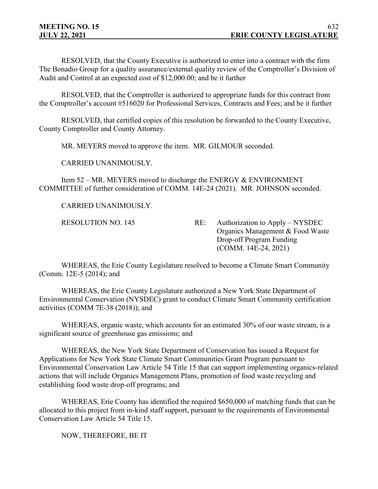RESOLVED, that the County Executive is authorized to enter into a contract with the firm The Bonadio Group for a quality assurance/external quality review of the Comptroller's Division of Audit and Control at an expected cost of \$12,000.00; and be it further

RESOLVED, that the Comptroller is authorized to appropriate funds for this contract from the Comptroller's account #516020 for Professional Services, Contracts and Fees; and be it further

RESOLVED, that certified copies of this resolution be forwarded to the County Executive, County Comptroller and County Attorney.

MR. MEYERS moved to approve the item. MR. GILMOUR seconded.

CARRIED UNANIMOUSLY.

Item 52 – MR. MEYERS moved to discharge the ENERGY & ENVIRONMENT COMMITTEE of further consideration of COMM. 14E-24 (2021). MR. JOHNSON seconded.

CARRIED UNANIMOUSLY.

RESOLUTION NO. 145 RE: Authorization to Apply – NYSDEC Organics Management & Food Waste Drop-off Program Funding (COMM. 14E-24, 2021)

WHEREAS, the Erie County Legislature resolved to become a Climate Smart Community (Comm. 12E-5 (2014); and

WHEREAS, the Erie County Legislature authorized a New York State Department of Environmental Conservation (NYSDEC) grant to conduct Climate Smart Community certification activities (COMM 7E-38 (2018)); and

WHEREAS, organic waste, which accounts for an estimated 30% of our waste stream, is a significant source of greenhouse gas emissions; and

WHEREAS, the New York State Department of Conservation has issued a Request for Applications for New York State Climate Smart Communities Grant Program pursuant to Environmental Conservation Law Article 54 Title 15 that can support implementing organics-related actions that will include Organics Management Plans, promotion of food waste recycling and establishing food waste drop-off programs; and

WHEREAS, Erie County has identified the required \$650,000 of matching funds that can be allocated to this project from in-kind staff support, pursuant to the requirements of Environmental Conservation Law Article 54 Title 15.

NOW, THEREFORE, BE IT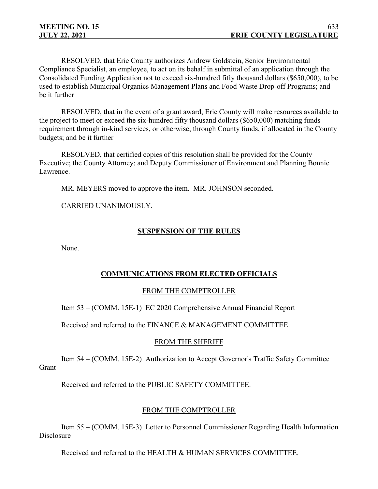RESOLVED, that Erie County authorizes Andrew Goldstein, Senior Environmental Compliance Specialist, an employee, to act on its behalf in submittal of an application through the Consolidated Funding Application not to exceed six-hundred fifty thousand dollars (\$650,000), to be used to establish Municipal Organics Management Plans and Food Waste Drop-off Programs; and be it further

RESOLVED, that in the event of a grant award, Erie County will make resources available to the project to meet or exceed the six-hundred fifty thousand dollars (\$650,000) matching funds requirement through in-kind services, or otherwise, through County funds, if allocated in the County budgets; and be it further

RESOLVED, that certified copies of this resolution shall be provided for the County Executive; the County Attorney; and Deputy Commissioner of Environment and Planning Bonnie Lawrence.

MR. MEYERS moved to approve the item. MR. JOHNSON seconded.

CARRIED UNANIMOUSLY.

## **SUSPENSION OF THE RULES**

None.

## **COMMUNICATIONS FROM ELECTED OFFICIALS**

## FROM THE COMPTROLLER

Item 53 – (COMM. 15E-1) EC 2020 Comprehensive Annual Financial Report

Received and referred to the FINANCE & MANAGEMENT COMMITTEE.

## FROM THE SHERIFF

Item 54 – (COMM. 15E-2) Authorization to Accept Governor's Traffic Safety Committee **Grant** 

Received and referred to the PUBLIC SAFETY COMMITTEE.

## FROM THE COMPTROLLER

Item 55 – (COMM. 15E-3) Letter to Personnel Commissioner Regarding Health Information **Disclosure** 

Received and referred to the HEALTH & HUMAN SERVICES COMMITTEE.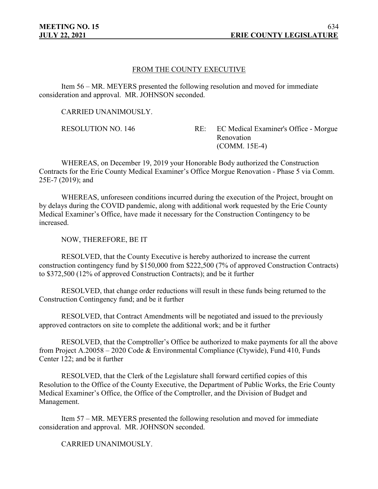#### FROM THE COUNTY EXECUTIVE

Item 56 – MR. MEYERS presented the following resolution and moved for immediate consideration and approval. MR. JOHNSON seconded.

CARRIED UNANIMOUSLY.

RESOLUTION NO. 146 RE: EC Medical Examiner's Office - Morgue Renovation (COMM. 15E-4)

WHEREAS, on December 19, 2019 your Honorable Body authorized the Construction Contracts for the Erie County Medical Examiner's Office Morgue Renovation - Phase 5 via Comm. 25E-7 (2019); and

WHEREAS, unforeseen conditions incurred during the execution of the Project, brought on by delays during the COVID pandemic, along with additional work requested by the Erie County Medical Examiner's Office, have made it necessary for the Construction Contingency to be increased.

NOW, THEREFORE, BE IT

RESOLVED, that the County Executive is hereby authorized to increase the current construction contingency fund by \$150,000 from \$222,500 (7% of approved Construction Contracts) to \$372,500 (12% of approved Construction Contracts); and be it further

RESOLVED, that change order reductions will result in these funds being returned to the Construction Contingency fund; and be it further

RESOLVED, that Contract Amendments will be negotiated and issued to the previously approved contractors on site to complete the additional work; and be it further

RESOLVED, that the Comptroller's Office be authorized to make payments for all the above from Project A.20058 – 2020 Code & Environmental Compliance (Ctywide), Fund 410, Funds Center 122; and be it further

RESOLVED, that the Clerk of the Legislature shall forward certified copies of this Resolution to the Office of the County Executive, the Department of Public Works, the Erie County Medical Examiner's Office, the Office of the Comptroller, and the Division of Budget and Management.

Item 57 – MR. MEYERS presented the following resolution and moved for immediate consideration and approval. MR. JOHNSON seconded.

CARRIED UNANIMOUSLY.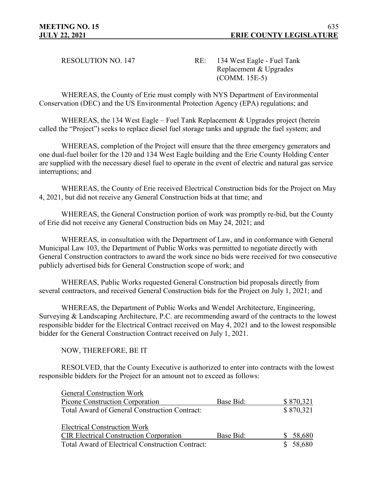RESOLUTION NO. 147 RE: 134 West Eagle - Fuel Tank Replacement & Upgrades (COMM. 15E-5)

WHEREAS, the County of Erie must comply with NYS Department of Environmental Conservation (DEC) and the US Environmental Protection Agency (EPA) regulations; and

WHEREAS, the 134 West Eagle – Fuel Tank Replacement & Upgrades project (herein called the "Project") seeks to replace diesel fuel storage tanks and upgrade the fuel system; and

WHEREAS, completion of the Project will ensure that the three emergency generators and one dual-fuel boiler for the 120 and 134 West Eagle building and the Erie County Holding Center are supplied with the necessary diesel fuel to operate in the event of electric and natural gas service interruptions; and

WHEREAS, the County of Erie received Electrical Construction bids for the Project on May 4, 2021, but did not receive any General Construction bids at that time; and

WHEREAS, the General Construction portion of work was promptly re-bid, but the County of Erie did not receive any General Construction bids on May 24, 2021; and

WHEREAS, in consultation with the Department of Law, and in conformance with General Municipal Law 103, the Department of Public Works was permitted to negotiate directly with General Construction contractors to award the work since no bids were received for two consecutive publicly advertised bids for General Construction scope of work; and

WHEREAS, Public Works requested General Construction bid proposals directly from several contractors, and received General Construction bids for the Project on July 1, 2021; and

WHEREAS, the Department of Public Works and Wendel Architecture, Engineering, Surveying & Landscaping Architecture, P.C. are recommending award of the contracts to the lowest responsible bidder for the Electrical Contract received on May 4, 2021 and to the lowest responsible bidder for the General Construction Contract received on July 1, 2021.

NOW, THEREFORE, BE IT

RESOLVED, that the County Executive is authorized to enter into contracts with the lowest responsible bidders for the Project for an amount not to exceed as follows:

| General Construction Work                        |           |           |
|--------------------------------------------------|-----------|-----------|
| Picone Construction Corporation                  | Base Bid: | \$870,321 |
| Total Award of General Construction Contract:    |           | \$870,321 |
|                                                  |           |           |
| <b>Electrical Construction Work</b>              |           |           |
| <b>CIR Electrical Construction Corporation</b>   | Base Bid: | 58,680    |
| Total Award of Electrical Construction Contract: |           | \$58,680  |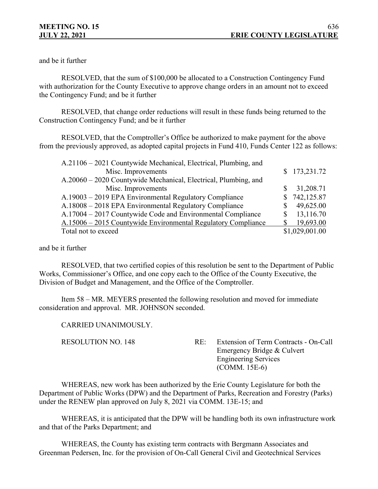and be it further

RESOLVED, that the sum of \$100,000 be allocated to a Construction Contingency Fund with authorization for the County Executive to approve change orders in an amount not to exceed the Contingency Fund; and be it further

RESOLVED, that change order reductions will result in these funds being returned to the Construction Contingency Fund; and be it further

RESOLVED, that the Comptroller's Office be authorized to make payment for the above from the previously approved, as adopted capital projects in Fund 410, Funds Center 122 as follows:

| A.21106 – 2021 Countywide Mechanical, Electrical, Plumbing, and |                |
|-----------------------------------------------------------------|----------------|
| Misc. Improvements                                              | \$173,231.72   |
| A.20060 – 2020 Countywide Mechanical, Electrical, Plumbing, and |                |
| Misc. Improvements                                              | 31,208.71      |
| A.19003 – 2019 EPA Environmental Regulatory Compliance          | \$742,125.87   |
| A.18008 – 2018 EPA Environmental Regulatory Compliance          | 49,625.00      |
| A.17004 – 2017 Countywide Code and Environmental Compliance     | 13,116.70      |
| A.15006 – 2015 Countywide Environmental Regulatory Compliance   | 19,693.00      |
| Total not to exceed                                             | \$1,029,001.00 |

and be it further

RESOLVED, that two certified copies of this resolution be sent to the Department of Public Works, Commissioner's Office, and one copy each to the Office of the County Executive, the Division of Budget and Management, and the Office of the Comptroller.

Item 58 – MR. MEYERS presented the following resolution and moved for immediate consideration and approval. MR. JOHNSON seconded.

CARRIED UNANIMOUSLY.

RESOLUTION NO. 148 RE: Extension of Term Contracts - On-Call Emergency Bridge & Culvert Engineering Services (COMM. 15E-6)

WHEREAS, new work has been authorized by the Erie County Legislature for both the Department of Public Works (DPW) and the Department of Parks, Recreation and Forestry (Parks) under the RENEW plan approved on July 8, 2021 via COMM. 13E-15; and

WHEREAS, it is anticipated that the DPW will be handling both its own infrastructure work and that of the Parks Department; and

WHEREAS, the County has existing term contracts with Bergmann Associates and Greenman Pedersen, Inc. for the provision of On-Call General Civil and Geotechnical Services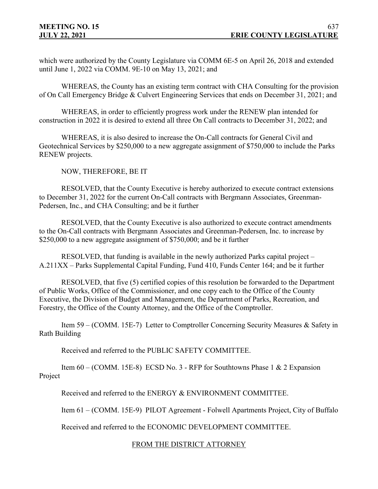which were authorized by the County Legislature via COMM 6E-5 on April 26, 2018 and extended until June 1, 2022 via COMM. 9E-10 on May 13, 2021; and

WHEREAS, the County has an existing term contract with CHA Consulting for the provision of On Call Emergency Bridge & Culvert Engineering Services that ends on December 31, 2021; and

WHEREAS, in order to efficiently progress work under the RENEW plan intended for construction in 2022 it is desired to extend all three On Call contracts to December 31, 2022; and

WHEREAS, it is also desired to increase the On-Call contracts for General Civil and Geotechnical Services by \$250,000 to a new aggregate assignment of \$750,000 to include the Parks RENEW projects.

NOW, THEREFORE, BE IT

RESOLVED, that the County Executive is hereby authorized to execute contract extensions to December 31, 2022 for the current On-Call contracts with Bergmann Associates, Greenman-Pedersen, Inc., and CHA Consulting; and be it further

RESOLVED, that the County Executive is also authorized to execute contract amendments to the On-Call contracts with Bergmann Associates and Greenman-Pedersen, Inc. to increase by \$250,000 to a new aggregate assignment of \$750,000; and be it further

RESOLVED, that funding is available in the newly authorized Parks capital project – A.211XX – Parks Supplemental Capital Funding, Fund 410, Funds Center 164; and be it further

RESOLVED, that five (5) certified copies of this resolution be forwarded to the Department of Public Works, Office of the Commissioner, and one copy each to the Office of the County Executive, the Division of Budget and Management, the Department of Parks, Recreation, and Forestry, the Office of the County Attorney, and the Office of the Comptroller.

Item 59 – (COMM. 15E-7) Letter to Comptroller Concerning Security Measures & Safety in Rath Building

Received and referred to the PUBLIC SAFETY COMMITTEE.

Item 60 – (COMM. 15E-8) ECSD No. 3 - RFP for Southtowns Phase 1 & 2 Expansion Project

Received and referred to the ENERGY & ENVIRONMENT COMMITTEE.

Item 61 – (COMM. 15E-9) PILOT Agreement - Folwell Apartments Project, City of Buffalo

Received and referred to the ECONOMIC DEVELOPMENT COMMITTEE.

## FROM THE DISTRICT ATTORNEY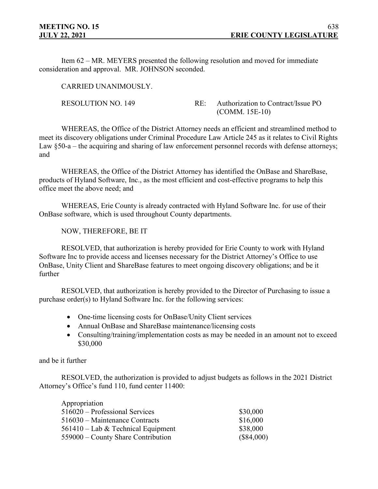Item 62 – MR. MEYERS presented the following resolution and moved for immediate consideration and approval. MR. JOHNSON seconded.

CARRIED UNANIMOUSLY.

RESOLUTION NO. 149 RE: Authorization to Contract/Issue PO (COMM. 15E-10)

WHEREAS, the Office of the District Attorney needs an efficient and streamlined method to meet its discovery obligations under Criminal Procedure Law Article 245 as it relates to Civil Rights Law §50-a – the acquiring and sharing of law enforcement personnel records with defense attorneys; and

WHEREAS, the Office of the District Attorney has identified the OnBase and ShareBase, products of Hyland Software, Inc., as the most efficient and cost-effective programs to help this office meet the above need; and

WHEREAS, Erie County is already contracted with Hyland Software Inc. for use of their OnBase software, which is used throughout County departments.

NOW, THEREFORE, BE IT

RESOLVED, that authorization is hereby provided for Erie County to work with Hyland Software Inc to provide access and licenses necessary for the District Attorney's Office to use OnBase, Unity Client and ShareBase features to meet ongoing discovery obligations; and be it further

RESOLVED, that authorization is hereby provided to the Director of Purchasing to issue a purchase order(s) to Hyland Software Inc. for the following services:

- One-time licensing costs for OnBase/Unity Client services
- Annual OnBase and ShareBase maintenance/licensing costs
- Consulting/training/implementation costs as may be needed in an amount not to exceed \$30,000

and be it further

RESOLVED, the authorization is provided to adjust budgets as follows in the 2021 District Attorney's Office's fund 110, fund center 11400:

| Appropriation                        |              |
|--------------------------------------|--------------|
| 516020 – Professional Services       | \$30,000     |
| 516030 – Maintenance Contracts       | \$16,000     |
| $561410$ – Lab & Technical Equipment | \$38,000     |
| 559000 – County Share Contribution   | $(\$84,000)$ |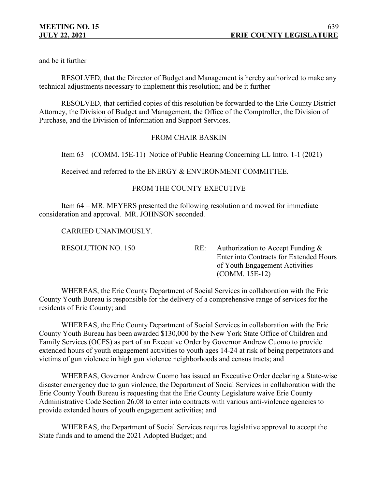and be it further

RESOLVED, that the Director of Budget and Management is hereby authorized to make any technical adjustments necessary to implement this resolution; and be it further

RESOLVED, that certified copies of this resolution be forwarded to the Erie County District Attorney, the Division of Budget and Management, the Office of the Comptroller, the Division of Purchase, and the Division of Information and Support Services.

# FROM CHAIR BASKIN

Item 63 – (COMM. 15E-11) Notice of Public Hearing Concerning LL Intro. 1-1 (2021)

Received and referred to the ENERGY & ENVIRONMENT COMMITTEE.

# FROM THE COUNTY EXECUTIVE

Item 64 – MR. MEYERS presented the following resolution and moved for immediate consideration and approval. MR. JOHNSON seconded.

CARRIED UNANIMOUSLY.

RESOLUTION NO. 150 RE: Authorization to Accept Funding & Enter into Contracts for Extended Hours of Youth Engagement Activities (COMM. 15E-12)

WHEREAS, the Erie County Department of Social Services in collaboration with the Erie County Youth Bureau is responsible for the delivery of a comprehensive range of services for the residents of Erie County; and

WHEREAS, the Erie County Department of Social Services in collaboration with the Erie County Youth Bureau has been awarded \$130,000 by the New York State Office of Children and Family Services (OCFS) as part of an Executive Order by Governor Andrew Cuomo to provide extended hours of youth engagement activities to youth ages 14-24 at risk of being perpetrators and victims of gun violence in high gun violence neighborhoods and census tracts; and

WHEREAS, Governor Andrew Cuomo has issued an Executive Order declaring a State-wise disaster emergency due to gun violence, the Department of Social Services in collaboration with the Erie County Youth Bureau is requesting that the Erie County Legislature waive Erie County Administrative Code Section 26.08 to enter into contracts with various anti-violence agencies to provide extended hours of youth engagement activities; and

WHEREAS, the Department of Social Services requires legislative approval to accept the State funds and to amend the 2021 Adopted Budget; and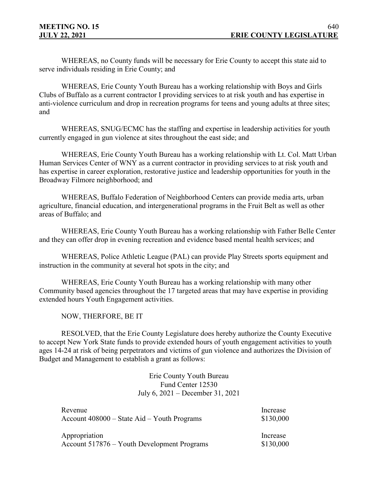WHEREAS, no County funds will be necessary for Erie County to accept this state aid to serve individuals residing in Erie County; and

WHEREAS, Erie County Youth Bureau has a working relationship with Boys and Girls Clubs of Buffalo as a current contractor I providing services to at risk youth and has expertise in anti-violence curriculum and drop in recreation programs for teens and young adults at three sites; and

WHEREAS, SNUG/ECMC has the staffing and expertise in leadership activities for youth currently engaged in gun violence at sites throughout the east side; and

WHEREAS, Erie County Youth Bureau has a working relationship with Lt. Col. Matt Urban Human Services Center of WNY as a current contractor in providing services to at risk youth and has expertise in career exploration, restorative justice and leadership opportunities for youth in the Broadway Filmore neighborhood; and

WHEREAS, Buffalo Federation of Neighborhood Centers can provide media arts, urban agriculture, financial education, and intergenerational programs in the Fruit Belt as well as other areas of Buffalo; and

WHEREAS, Erie County Youth Bureau has a working relationship with Father Belle Center and they can offer drop in evening recreation and evidence based mental health services; and

WHEREAS, Police Athletic League (PAL) can provide Play Streets sports equipment and instruction in the community at several hot spots in the city; and

WHEREAS, Erie County Youth Bureau has a working relationship with many other Community based agencies throughout the 17 targeted areas that may have expertise in providing extended hours Youth Engagement activities.

NOW, THERFORE, BE IT

RESOLVED, that the Erie County Legislature does hereby authorize the County Executive to accept New York State funds to provide extended hours of youth engagement activities to youth ages 14-24 at risk of being perpetrators and victims of gun violence and authorizes the Division of Budget and Management to establish a grant as follows:

> Erie County Youth Bureau Fund Center 12530 July 6, 2021 – December 31, 2021

| Revenue                                         | Increase  |
|-------------------------------------------------|-----------|
| Account $408000 -$ State Aid $-$ Youth Programs | \$130,000 |
| Appropriation                                   | Increase  |
| Account 517876 – Youth Development Programs     | \$130,000 |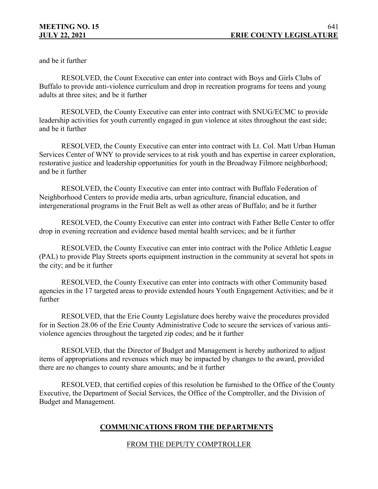and be it further

RESOLVED, the Count Executive can enter into contract with Boys and Girls Clubs of Buffalo to provide anti-violence curriculum and drop in recreation programs for teens and young adults at three sites; and be it further

RESOLVED, the County Executive can enter into contract with SNUG/ECMC to provide leadership activities for youth currently engaged in gun violence at sites throughout the east side; and be it further

RESOLVED, the County Executive can enter into contract with Lt. Col. Matt Urban Human Services Center of WNY to provide services to at risk youth and has expertise in career exploration, restorative justice and leadership opportunities for youth in the Broadway Filmore neighborhood; and be it further

RESOLVED, the County Executive can enter into contract with Buffalo Federation of Neighborhood Centers to provide media arts, urban agriculture, financial education, and intergenerational programs in the Fruit Belt as well as other areas of Buffalo; and be it further

RESOLVED, the County Executive can enter into contract with Father Belle Center to offer drop in evening recreation and evidence based mental health services; and be it further

RESOLVED, the County Executive can enter into contract with the Police Athletic League (PAL) to provide Play Streets sports equipment instruction in the community at several hot spots in the city; and be it further

RESOLVED, the County Executive can enter into contracts with other Community based agencies in the 17 targeted areas to provide extended hours Youth Engagement Activities; and be it further

RESOLVED, that the Erie County Legislature does hereby waive the procedures provided for in Section 28.06 of the Erie County Administrative Code to secure the services of various antiviolence agencies throughout the targeted zip codes; and be it further

RESOLVED, that the Director of Budget and Management is hereby authorized to adjust items of appropriations and revenues which may be impacted by changes to the award, provided there are no changes to county share amounts; and be it further

RESOLVED, that certified copies of this resolution be furnished to the Office of the County Executive, the Department of Social Services, the Office of the Comptroller, and the Division of Budget and Management.

# **COMMUNICATIONS FROM THE DEPARTMENTS**

## FROM THE DEPUTY COMPTROLLER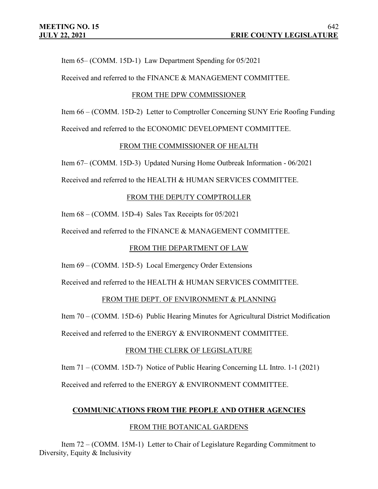Item 65– (COMM. 15D-1) Law Department Spending for 05/2021

Received and referred to the FINANCE & MANAGEMENT COMMITTEE.

### FROM THE DPW COMMISSIONER

Item 66 – (COMM. 15D-2) Letter to Comptroller Concerning SUNY Erie Roofing Funding Received and referred to the ECONOMIC DEVELOPMENT COMMITTEE.

### FROM THE COMMISSIONER OF HEALTH

Item 67– (COMM. 15D-3) Updated Nursing Home Outbreak Information - 06/2021

Received and referred to the HEALTH & HUMAN SERVICES COMMITTEE.

# FROM THE DEPUTY COMPTROLLER

Item 68 – (COMM. 15D-4) Sales Tax Receipts for 05/2021

Received and referred to the FINANCE & MANAGEMENT COMMITTEE.

## FROM THE DEPARTMENT OF LAW

Item 69 – (COMM. 15D-5) Local Emergency Order Extensions

Received and referred to the HEALTH & HUMAN SERVICES COMMITTEE.

# FROM THE DEPT. OF ENVIRONMENT & PLANNING

Item 70 – (COMM. 15D-6) Public Hearing Minutes for Agricultural District Modification Received and referred to the ENERGY & ENVIRONMENT COMMITTEE.

## FROM THE CLERK OF LEGISLATURE

Item 71 – (COMM. 15D-7) Notice of Public Hearing Concerning LL Intro. 1-1 (2021)

Received and referred to the ENERGY & ENVIRONMENT COMMITTEE.

# **COMMUNICATIONS FROM THE PEOPLE AND OTHER AGENCIES**

## FROM THE BOTANICAL GARDENS

Item 72 – (COMM. 15M-1) Letter to Chair of Legislature Regarding Commitment to Diversity, Equity & Inclusivity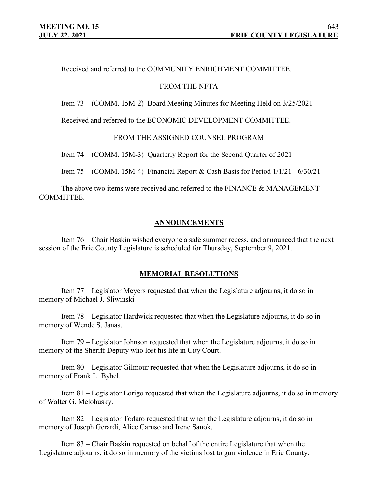Received and referred to the COMMUNITY ENRICHMENT COMMITTEE.

### FROM THE NFTA

Item 73 – (COMM. 15M-2) Board Meeting Minutes for Meeting Held on 3/25/2021

Received and referred to the ECONOMIC DEVELOPMENT COMMITTEE.

### FROM THE ASSIGNED COUNSEL PROGRAM

Item 74 – (COMM. 15M-3) Quarterly Report for the Second Quarter of 2021

Item 75 – (COMM. 15M-4) Financial Report & Cash Basis for Period  $1/1/21 - 6/30/21$ 

The above two items were received and referred to the FINANCE & MANAGEMENT COMMITTEE.

### **ANNOUNCEMENTS**

Item 76 – Chair Baskin wished everyone a safe summer recess, and announced that the next session of the Erie County Legislature is scheduled for Thursday, September 9, 2021.

#### **MEMORIAL RESOLUTIONS**

Item 77 – Legislator Meyers requested that when the Legislature adjourns, it do so in memory of Michael J. Sliwinski

Item 78 – Legislator Hardwick requested that when the Legislature adjourns, it do so in memory of Wende S. Janas.

Item 79 – Legislator Johnson requested that when the Legislature adjourns, it do so in memory of the Sheriff Deputy who lost his life in City Court.

Item 80 – Legislator Gilmour requested that when the Legislature adjourns, it do so in memory of Frank L. Bybel.

Item 81 – Legislator Lorigo requested that when the Legislature adjourns, it do so in memory of Walter G. Melohusky.

Item 82 – Legislator Todaro requested that when the Legislature adjourns, it do so in memory of Joseph Gerardi, Alice Caruso and Irene Sanok.

Item 83 – Chair Baskin requested on behalf of the entire Legislature that when the Legislature adjourns, it do so in memory of the victims lost to gun violence in Erie County.